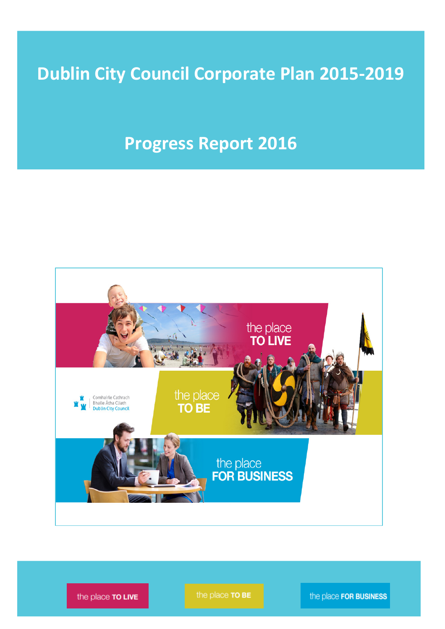# Dublin City Council Corporate Plan 2015-2019

## Progress Report 2016



The place  $\overline{TOLIVE}$  **Dublin Council Council Council Council Council Council Plan 2015-2015-2019** Report 2015-2019 Page 101-2019 Page 101-2019 Page 101-2019 Page 101-2019 Page 101-2019 Page 101-2019 Page 101-2019 Page 101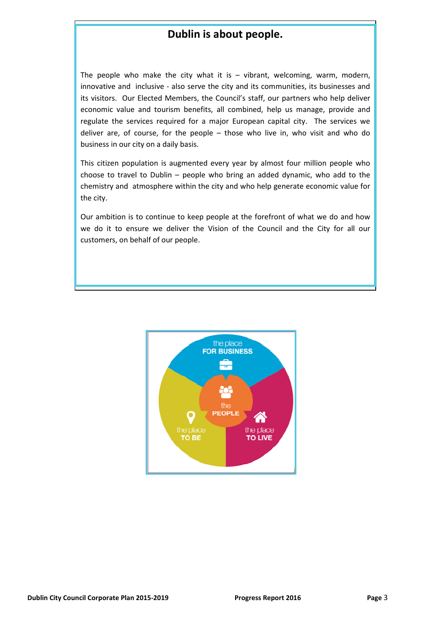### Dublin is about people.

The people who make the city what it is  $-$  vibrant, welcoming, warm, modern, innovative and inclusive - also serve the city and its communities, its businesses and its visitors. Our Elected Members, the Council's staff, our partners who help deliver economic value and tourism benefits, all combined, help us manage, provide and regulate the services required for a major European capital city. The services we deliver are, of course, for the people – those who live in, who visit and who do business in our city on a daily basis.

This citizen population is augmented every year by almost four million people who choose to travel to Dublin – people who bring an added dynamic, who add to the chemistry and atmosphere within the city and who help generate economic value for the city.

Our ambition is to continue to keep people at the forefront of what we do and how we do it to ensure we deliver the Vision of the Council and the City for all our customers, on behalf of our people.

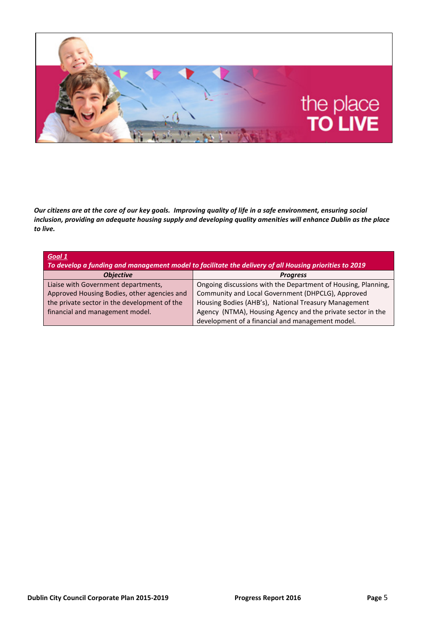

Our citizens are at the core of our key goals. Improving quality of life in a safe environment, ensuring social inclusion, providing an adequate housing supply and developing quality amenities will enhance Dublin as the place to live.

| Goal 1                                                                                                 |                                                               |  |
|--------------------------------------------------------------------------------------------------------|---------------------------------------------------------------|--|
| To develop a funding and management model to facilitate the delivery of all Housing priorities to 2019 |                                                               |  |
| <b>Objective</b>                                                                                       | <b>Progress</b>                                               |  |
| Liaise with Government departments,                                                                    | Ongoing discussions with the Department of Housing, Planning, |  |
| Approved Housing Bodies, other agencies and                                                            | Community and Local Government (DHPCLG), Approved             |  |
| the private sector in the development of the                                                           | Housing Bodies (AHB's), National Treasury Management          |  |
| financial and management model.                                                                        | Agency (NTMA), Housing Agency and the private sector in the   |  |
|                                                                                                        | development of a financial and management model.              |  |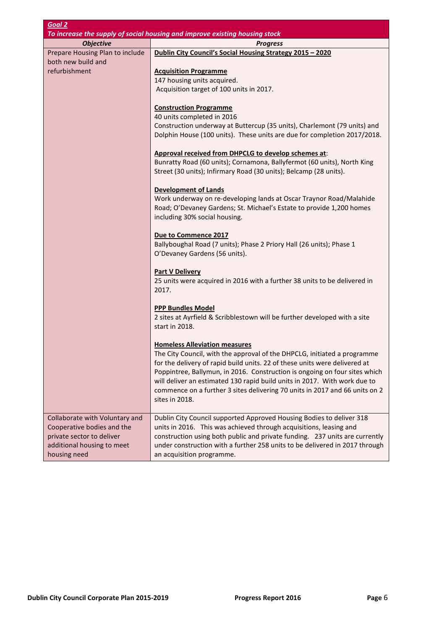| Goal 2                                                                                                                                  |                                                                                                                                                                                                                                                                                                                                                                                                                                                            |
|-----------------------------------------------------------------------------------------------------------------------------------------|------------------------------------------------------------------------------------------------------------------------------------------------------------------------------------------------------------------------------------------------------------------------------------------------------------------------------------------------------------------------------------------------------------------------------------------------------------|
|                                                                                                                                         | To increase the supply of social housing and improve existing housing stock                                                                                                                                                                                                                                                                                                                                                                                |
| <b>Objective</b>                                                                                                                        | <b>Progress</b>                                                                                                                                                                                                                                                                                                                                                                                                                                            |
| Prepare Housing Plan to include                                                                                                         | Dublin City Council's Social Housing Strategy 2015 - 2020                                                                                                                                                                                                                                                                                                                                                                                                  |
| both new build and<br>refurbishment                                                                                                     | <b>Acquisition Programme</b><br>147 housing units acquired.                                                                                                                                                                                                                                                                                                                                                                                                |
|                                                                                                                                         | Acquisition target of 100 units in 2017.                                                                                                                                                                                                                                                                                                                                                                                                                   |
|                                                                                                                                         | <b>Construction Programme</b><br>40 units completed in 2016<br>Construction underway at Buttercup (35 units), Charlemont (79 units) and                                                                                                                                                                                                                                                                                                                    |
|                                                                                                                                         | Dolphin House (100 units). These units are due for completion 2017/2018.                                                                                                                                                                                                                                                                                                                                                                                   |
|                                                                                                                                         | Approval received from DHPCLG to develop schemes at:<br>Bunratty Road (60 units); Cornamona, Ballyfermot (60 units), North King<br>Street (30 units); Infirmary Road (30 units); Belcamp (28 units).                                                                                                                                                                                                                                                       |
|                                                                                                                                         | <b>Development of Lands</b><br>Work underway on re-developing lands at Oscar Traynor Road/Malahide<br>Road; O'Devaney Gardens; St. Michael's Estate to provide 1,200 homes<br>including 30% social housing.                                                                                                                                                                                                                                                |
|                                                                                                                                         | Due to Commence 2017<br>Ballyboughal Road (7 units); Phase 2 Priory Hall (26 units); Phase 1<br>O'Devaney Gardens (56 units).                                                                                                                                                                                                                                                                                                                              |
|                                                                                                                                         | <b>Part V Delivery</b><br>25 units were acquired in 2016 with a further 38 units to be delivered in<br>2017.                                                                                                                                                                                                                                                                                                                                               |
|                                                                                                                                         | <b>PPP Bundles Model</b><br>2 sites at Ayrfield & Scribblestown will be further developed with a site<br>start in 2018.                                                                                                                                                                                                                                                                                                                                    |
|                                                                                                                                         | <b>Homeless Alleviation measures</b><br>The City Council, with the approval of the DHPCLG, initiated a programme<br>for the delivery of rapid build units. 22 of these units were delivered at<br>Poppintree, Ballymun, in 2016. Construction is ongoing on four sites which<br>will deliver an estimated 130 rapid build units in 2017. With work due to<br>commence on a further 3 sites delivering 70 units in 2017 and 66 units on 2<br>sites in 2018. |
| Collaborate with Voluntary and<br>Cooperative bodies and the<br>private sector to deliver<br>additional housing to meet<br>housing need | Dublin City Council supported Approved Housing Bodies to deliver 318<br>units in 2016. This was achieved through acquisitions, leasing and<br>construction using both public and private funding. 237 units are currently<br>under construction with a further 258 units to be delivered in 2017 through<br>an acquisition programme.                                                                                                                      |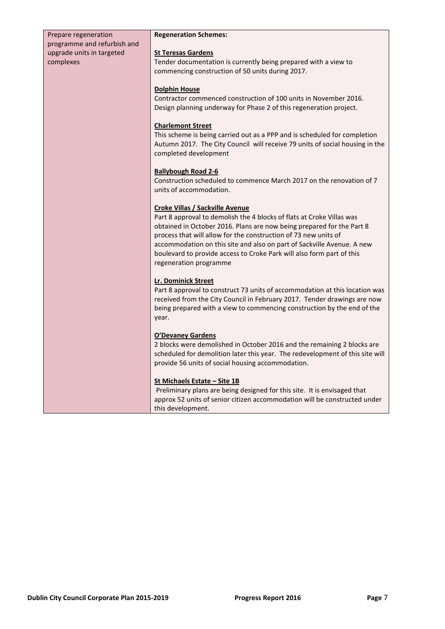| Prepare regeneration                                                  | <b>Regeneration Schemes:</b>                                                                                                                                                                                                                                                                                                                                                                                                             |
|-----------------------------------------------------------------------|------------------------------------------------------------------------------------------------------------------------------------------------------------------------------------------------------------------------------------------------------------------------------------------------------------------------------------------------------------------------------------------------------------------------------------------|
| programme and refurbish and<br>upgrade units in targeted<br>complexes | <b>St Teresas Gardens</b><br>Tender documentation is currently being prepared with a view to<br>commencing construction of 50 units during 2017.                                                                                                                                                                                                                                                                                         |
|                                                                       | <b>Dolphin House</b><br>Contractor commenced construction of 100 units in November 2016.<br>Design planning underway for Phase 2 of this regeneration project.                                                                                                                                                                                                                                                                           |
|                                                                       | <b>Charlemont Street</b><br>This scheme is being carried out as a PPP and is scheduled for completion<br>Autumn 2017. The City Council will receive 79 units of social housing in the<br>completed development                                                                                                                                                                                                                           |
|                                                                       | <b>Ballybough Road 2-6</b><br>Construction scheduled to commence March 2017 on the renovation of 7<br>units of accommodation.                                                                                                                                                                                                                                                                                                            |
|                                                                       | <b>Croke Villas / Sackville Avenue</b><br>Part 8 approval to demolish the 4 blocks of flats at Croke Villas was<br>obtained in October 2016. Plans are now being prepared for the Part 8<br>process that will allow for the construction of 73 new units of<br>accommodation on this site and also on part of Sackville Avenue. A new<br>boulevard to provide access to Croke Park will also form part of this<br>regeneration programme |
|                                                                       | Lr. Dominick Street<br>Part 8 approval to construct 73 units of accommodation at this location was<br>received from the City Council in February 2017. Tender drawings are now<br>being prepared with a view to commencing construction by the end of the<br>year.                                                                                                                                                                       |
|                                                                       | <b>O'Devaney Gardens</b><br>2 blocks were demolished in October 2016 and the remaining 2 blocks are<br>scheduled for demolition later this year. The redevelopment of this site will<br>provide 56 units of social housing accommodation.                                                                                                                                                                                                |
|                                                                       | <u>St Michaels Estate – Site 1B</u><br>Preliminary plans are being designed for this site. It is envisaged that<br>approx 52 units of senior citizen accommodation will be constructed under<br>this development.                                                                                                                                                                                                                        |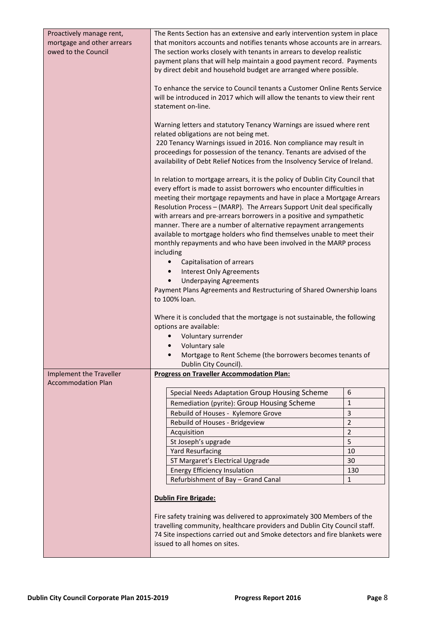| Proactively manage rent,<br>mortgage and other arrears<br>owed to the Council | The Rents Section has an extensive and early intervention system in place<br>that monitors accounts and notifies tenants whose accounts are in arrears.<br>The section works closely with tenants in arrears to develop realistic<br>payment plans that will help maintain a good payment record. Payments<br>by direct debit and household budget are arranged where possible.<br>To enhance the service to Council tenants a Customer Online Rents Service                                                                                                                                                                                                                                                                                                                                                                                                                                                                                                                                                                                          |                     |
|-------------------------------------------------------------------------------|-------------------------------------------------------------------------------------------------------------------------------------------------------------------------------------------------------------------------------------------------------------------------------------------------------------------------------------------------------------------------------------------------------------------------------------------------------------------------------------------------------------------------------------------------------------------------------------------------------------------------------------------------------------------------------------------------------------------------------------------------------------------------------------------------------------------------------------------------------------------------------------------------------------------------------------------------------------------------------------------------------------------------------------------------------|---------------------|
|                                                                               | will be introduced in 2017 which will allow the tenants to view their rent<br>statement on-line.                                                                                                                                                                                                                                                                                                                                                                                                                                                                                                                                                                                                                                                                                                                                                                                                                                                                                                                                                      |                     |
|                                                                               | Warning letters and statutory Tenancy Warnings are issued where rent<br>related obligations are not being met.<br>220 Tenancy Warnings issued in 2016. Non compliance may result in                                                                                                                                                                                                                                                                                                                                                                                                                                                                                                                                                                                                                                                                                                                                                                                                                                                                   |                     |
|                                                                               | proceedings for possession of the tenancy. Tenants are advised of the<br>availability of Debt Relief Notices from the Insolvency Service of Ireland.                                                                                                                                                                                                                                                                                                                                                                                                                                                                                                                                                                                                                                                                                                                                                                                                                                                                                                  |                     |
|                                                                               | In relation to mortgage arrears, it is the policy of Dublin City Council that<br>every effort is made to assist borrowers who encounter difficulties in<br>meeting their mortgage repayments and have in place a Mortgage Arrears<br>Resolution Process - (MARP). The Arrears Support Unit deal specifically<br>with arrears and pre-arrears borrowers in a positive and sympathetic<br>manner. There are a number of alternative repayment arrangements<br>available to mortgage holders who find themselves unable to meet their<br>monthly repayments and who have been involved in the MARP process<br>including<br>Capitalisation of arrears<br><b>Interest Only Agreements</b><br>$\bullet$<br><b>Underpaying Agreements</b><br>$\bullet$<br>Payment Plans Agreements and Restructuring of Shared Ownership loans<br>to 100% loan.<br>Where it is concluded that the mortgage is not sustainable, the following<br>options are available:<br>Voluntary surrender<br>Voluntary sale<br>Mortgage to Rent Scheme (the borrowers becomes tenants of |                     |
| Implement the Traveller                                                       | Dublin City Council).<br><b>Progress on Traveller Accommodation Plan:</b>                                                                                                                                                                                                                                                                                                                                                                                                                                                                                                                                                                                                                                                                                                                                                                                                                                                                                                                                                                             |                     |
| <b>Accommodation Plan</b>                                                     |                                                                                                                                                                                                                                                                                                                                                                                                                                                                                                                                                                                                                                                                                                                                                                                                                                                                                                                                                                                                                                                       |                     |
|                                                                               | Special Needs Adaptation Group Housing Scheme                                                                                                                                                                                                                                                                                                                                                                                                                                                                                                                                                                                                                                                                                                                                                                                                                                                                                                                                                                                                         | 6                   |
|                                                                               | Remediation (pyrite): Group Housing Scheme                                                                                                                                                                                                                                                                                                                                                                                                                                                                                                                                                                                                                                                                                                                                                                                                                                                                                                                                                                                                            | $\mathbf{1}$        |
|                                                                               | Rebuild of Houses - Kylemore Grove                                                                                                                                                                                                                                                                                                                                                                                                                                                                                                                                                                                                                                                                                                                                                                                                                                                                                                                                                                                                                    | 3                   |
|                                                                               | Rebuild of Houses - Bridgeview                                                                                                                                                                                                                                                                                                                                                                                                                                                                                                                                                                                                                                                                                                                                                                                                                                                                                                                                                                                                                        | $\overline{2}$      |
|                                                                               | Acquisition                                                                                                                                                                                                                                                                                                                                                                                                                                                                                                                                                                                                                                                                                                                                                                                                                                                                                                                                                                                                                                           | $\overline{2}$      |
|                                                                               | St Joseph's upgrade                                                                                                                                                                                                                                                                                                                                                                                                                                                                                                                                                                                                                                                                                                                                                                                                                                                                                                                                                                                                                                   | 5                   |
|                                                                               | <b>Yard Resurfacing</b>                                                                                                                                                                                                                                                                                                                                                                                                                                                                                                                                                                                                                                                                                                                                                                                                                                                                                                                                                                                                                               | 10                  |
|                                                                               | ST Margaret's Electrical Upgrade                                                                                                                                                                                                                                                                                                                                                                                                                                                                                                                                                                                                                                                                                                                                                                                                                                                                                                                                                                                                                      | 30                  |
|                                                                               | <b>Energy Efficiency Insulation</b><br>Refurbishment of Bay - Grand Canal                                                                                                                                                                                                                                                                                                                                                                                                                                                                                                                                                                                                                                                                                                                                                                                                                                                                                                                                                                             | 130<br>$\mathbf{1}$ |
|                                                                               |                                                                                                                                                                                                                                                                                                                                                                                                                                                                                                                                                                                                                                                                                                                                                                                                                                                                                                                                                                                                                                                       |                     |
|                                                                               | <b>Dublin Fire Brigade:</b><br>Fire safety training was delivered to approximately 300 Members of the<br>travelling community, healthcare providers and Dublin City Council staff.<br>74 Site inspections carried out and Smoke detectors and fire blankets were                                                                                                                                                                                                                                                                                                                                                                                                                                                                                                                                                                                                                                                                                                                                                                                      |                     |
|                                                                               | issued to all homes on sites.                                                                                                                                                                                                                                                                                                                                                                                                                                                                                                                                                                                                                                                                                                                                                                                                                                                                                                                                                                                                                         |                     |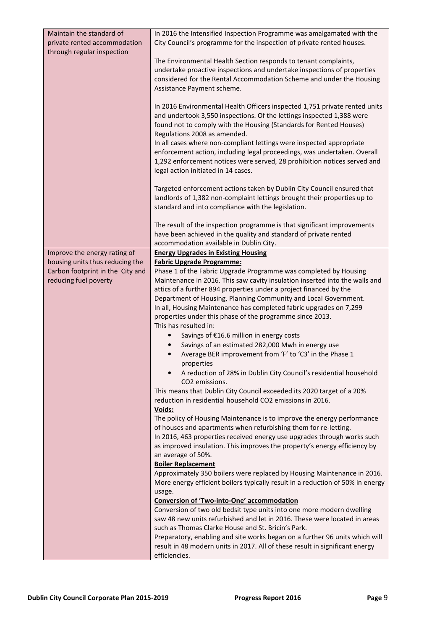| Maintain the standard of<br>private rented accommodation | In 2016 the Intensified Inspection Programme was amalgamated with the<br>City Council's programme for the inspection of private rented houses.              |
|----------------------------------------------------------|-------------------------------------------------------------------------------------------------------------------------------------------------------------|
| through regular inspection                               |                                                                                                                                                             |
|                                                          | The Environmental Health Section responds to tenant complaints,<br>undertake proactive inspections and undertake inspections of properties                  |
|                                                          | considered for the Rental Accommodation Scheme and under the Housing                                                                                        |
|                                                          | Assistance Payment scheme.                                                                                                                                  |
|                                                          | In 2016 Environmental Health Officers inspected 1,751 private rented units                                                                                  |
|                                                          | and undertook 3,550 inspections. Of the lettings inspected 1,388 were                                                                                       |
|                                                          | found not to comply with the Housing (Standards for Rented Houses)                                                                                          |
|                                                          | Regulations 2008 as amended.<br>In all cases where non-compliant lettings were inspected appropriate                                                        |
|                                                          | enforcement action, including legal proceedings, was undertaken. Overall                                                                                    |
|                                                          | 1,292 enforcement notices were served, 28 prohibition notices served and                                                                                    |
|                                                          | legal action initiated in 14 cases.                                                                                                                         |
|                                                          | Targeted enforcement actions taken by Dublin City Council ensured that                                                                                      |
|                                                          | landlords of 1,382 non-complaint lettings brought their properties up to                                                                                    |
|                                                          | standard and into compliance with the legislation.                                                                                                          |
|                                                          | The result of the inspection programme is that significant improvements                                                                                     |
|                                                          | have been achieved in the quality and standard of private rented                                                                                            |
| Improve the energy rating of                             | accommodation available in Dublin City.<br><b>Energy Upgrades in Existing Housing</b>                                                                       |
| housing units thus reducing the                          | <b>Fabric Upgrade Programme:</b>                                                                                                                            |
| Carbon footprint in the City and                         | Phase 1 of the Fabric Upgrade Programme was completed by Housing                                                                                            |
| reducing fuel poverty                                    | Maintenance in 2016. This saw cavity insulation inserted into the walls and                                                                                 |
|                                                          | attics of a further 894 properties under a project financed by the<br>Department of Housing, Planning Community and Local Government.                       |
|                                                          | In all, Housing Maintenance has completed fabric upgrades on 7,299                                                                                          |
|                                                          | properties under this phase of the programme since 2013.                                                                                                    |
|                                                          | This has resulted in:<br>Savings of €16.6 million in energy costs                                                                                           |
|                                                          | Savings of an estimated 282,000 Mwh in energy use<br>$\bullet$                                                                                              |
|                                                          | Average BER improvement from 'F' to 'C3' in the Phase 1<br>$\bullet$                                                                                        |
|                                                          | properties                                                                                                                                                  |
|                                                          | A reduction of 28% in Dublin City Council's residential household<br>CO <sub>2</sub> emissions.                                                             |
|                                                          | This means that Dublin City Council exceeded its 2020 target of a 20%                                                                                       |
|                                                          | reduction in residential household CO2 emissions in 2016.                                                                                                   |
|                                                          | Voids:<br>The policy of Housing Maintenance is to improve the energy performance                                                                            |
|                                                          | of houses and apartments when refurbishing them for re-letting.                                                                                             |
|                                                          | In 2016, 463 properties received energy use upgrades through works such                                                                                     |
|                                                          | as improved insulation. This improves the property's energy efficiency by                                                                                   |
|                                                          | an average of 50%.<br><b>Boiler Replacement</b>                                                                                                             |
|                                                          | Approximately 350 boilers were replaced by Housing Maintenance in 2016.                                                                                     |
|                                                          | More energy efficient boilers typically result in a reduction of 50% in energy                                                                              |
|                                                          | usage.<br>Conversion of 'Two-into-One' accommodation                                                                                                        |
|                                                          | Conversion of two old bedsit type units into one more modern dwelling                                                                                       |
|                                                          | saw 48 new units refurbished and let in 2016. These were located in areas                                                                                   |
|                                                          | such as Thomas Clarke House and St. Bricin's Park.                                                                                                          |
|                                                          | Preparatory, enabling and site works began on a further 96 units which will<br>result in 48 modern units in 2017. All of these result in significant energy |
|                                                          | efficiencies.                                                                                                                                               |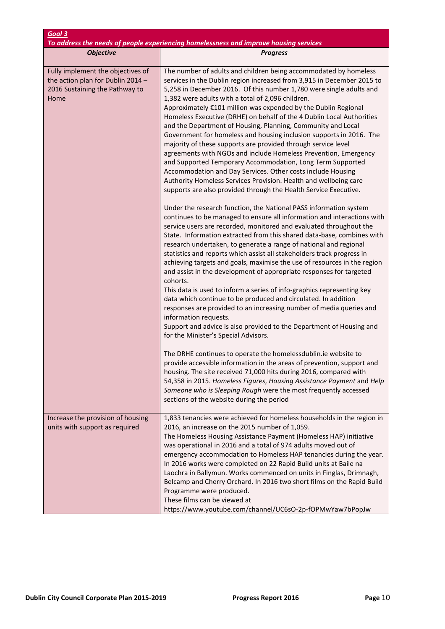| Goal 3<br>To address the needs of people experiencing homelessness and improve housing services                  |                                                                                                                                                                                                                                                                                                                                                                                                                                                                                                                                                                                                                                                                                                                                                                                                                                                                                                                                                                                                                                        |  |
|------------------------------------------------------------------------------------------------------------------|----------------------------------------------------------------------------------------------------------------------------------------------------------------------------------------------------------------------------------------------------------------------------------------------------------------------------------------------------------------------------------------------------------------------------------------------------------------------------------------------------------------------------------------------------------------------------------------------------------------------------------------------------------------------------------------------------------------------------------------------------------------------------------------------------------------------------------------------------------------------------------------------------------------------------------------------------------------------------------------------------------------------------------------|--|
| <b>Objective</b>                                                                                                 | <b>Progress</b>                                                                                                                                                                                                                                                                                                                                                                                                                                                                                                                                                                                                                                                                                                                                                                                                                                                                                                                                                                                                                        |  |
|                                                                                                                  |                                                                                                                                                                                                                                                                                                                                                                                                                                                                                                                                                                                                                                                                                                                                                                                                                                                                                                                                                                                                                                        |  |
| Fully implement the objectives of<br>the action plan for Dublin 2014 -<br>2016 Sustaining the Pathway to<br>Home | The number of adults and children being accommodated by homeless<br>services in the Dublin region increased from 3,915 in December 2015 to<br>5,258 in December 2016. Of this number 1,780 were single adults and<br>1,382 were adults with a total of 2,096 children.<br>Approximately €101 million was expended by the Dublin Regional<br>Homeless Executive (DRHE) on behalf of the 4 Dublin Local Authorities<br>and the Department of Housing, Planning, Community and Local<br>Government for homeless and housing inclusion supports in 2016. The<br>majority of these supports are provided through service level<br>agreements with NGOs and include Homeless Prevention, Emergency<br>and Supported Temporary Accommodation, Long Term Supported<br>Accommodation and Day Services. Other costs include Housing<br>Authority Homeless Services Provision. Health and wellbeing care<br>supports are also provided through the Health Service Executive.<br>Under the research function, the National PASS information system |  |
|                                                                                                                  | continues to be managed to ensure all information and interactions with<br>service users are recorded, monitored and evaluated throughout the<br>State. Information extracted from this shared data-base, combines with<br>research undertaken, to generate a range of national and regional<br>statistics and reports which assist all stakeholders track progress in<br>achieving targets and goals, maximise the use of resources in the region<br>and assist in the development of appropriate responses for targeted<br>cohorts.<br>This data is used to inform a series of info-graphics representing key<br>data which continue to be produced and circulated. In addition<br>responses are provided to an increasing number of media queries and<br>information requests.<br>Support and advice is also provided to the Department of Housing and<br>for the Minister's Special Advisors.                                                                                                                                      |  |
|                                                                                                                  | The DRHE continues to operate the homelessdublin.ie website to<br>provide accessible information in the areas of prevention, support and<br>housing. The site received 71,000 hits during 2016, compared with<br>54,358 in 2015. Homeless Figures, Housing Assistance Payment and Help<br>Someone who is Sleeping Rough were the most frequently accessed<br>sections of the website during the period                                                                                                                                                                                                                                                                                                                                                                                                                                                                                                                                                                                                                                 |  |
| Increase the provision of housing<br>units with support as required                                              | 1,833 tenancies were achieved for homeless households in the region in<br>2016, an increase on the 2015 number of 1,059.<br>The Homeless Housing Assistance Payment (Homeless HAP) initiative<br>was operational in 2016 and a total of 974 adults moved out of<br>emergency accommodation to Homeless HAP tenancies during the year.<br>In 2016 works were completed on 22 Rapid Build units at Baile na<br>Laochra in Ballymun. Works commenced on units in Finglas, Drimnagh,<br>Belcamp and Cherry Orchard. In 2016 two short films on the Rapid Build<br>Programme were produced.<br>These films can be viewed at<br>https://www.youtube.com/channel/UC6sO-2p-fOPMwYaw7bPopJw                                                                                                                                                                                                                                                                                                                                                     |  |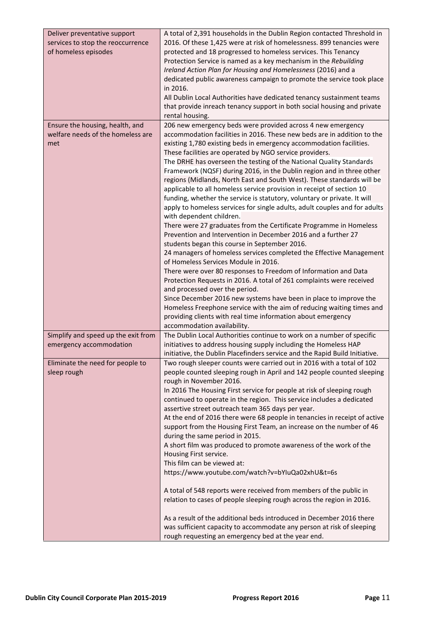| Deliver preventative support<br>services to stop the reoccurrence<br>of homeless episodes | A total of 2,391 households in the Dublin Region contacted Threshold in<br>2016. Of these 1,425 were at risk of homelessness. 899 tenancies were<br>protected and 18 progressed to homeless services. This Tenancy<br>Protection Service is named as a key mechanism in the Rebuilding<br>Ireland Action Plan for Housing and Homelessness (2016) and a<br>dedicated public awareness campaign to promote the service took place<br>in 2016.<br>All Dublin Local Authorities have dedicated tenancy sustainment teams<br>that provide inreach tenancy support in both social housing and private<br>rental housing. |
|-------------------------------------------------------------------------------------------|---------------------------------------------------------------------------------------------------------------------------------------------------------------------------------------------------------------------------------------------------------------------------------------------------------------------------------------------------------------------------------------------------------------------------------------------------------------------------------------------------------------------------------------------------------------------------------------------------------------------|
| Ensure the housing, health, and<br>welfare needs of the homeless are                      | 206 new emergency beds were provided across 4 new emergency<br>accommodation facilities in 2016. These new beds are in addition to the                                                                                                                                                                                                                                                                                                                                                                                                                                                                              |
| met                                                                                       | existing 1,780 existing beds in emergency accommodation facilities.<br>These facilities are operated by NGO service providers.<br>The DRHE has overseen the testing of the National Quality Standards                                                                                                                                                                                                                                                                                                                                                                                                               |
|                                                                                           | Framework (NQSF) during 2016, in the Dublin region and in three other<br>regions (Midlands, North East and South West). These standards will be<br>applicable to all homeless service provision in receipt of section 10                                                                                                                                                                                                                                                                                                                                                                                            |
|                                                                                           | funding, whether the service is statutory, voluntary or private. It will<br>apply to homeless services for single adults, adult couples and for adults<br>with dependent children.                                                                                                                                                                                                                                                                                                                                                                                                                                  |
|                                                                                           | There were 27 graduates from the Certificate Programme in Homeless<br>Prevention and Intervention in December 2016 and a further 27<br>students began this course in September 2016.                                                                                                                                                                                                                                                                                                                                                                                                                                |
|                                                                                           | 24 managers of homeless services completed the Effective Management<br>of Homeless Services Module in 2016.                                                                                                                                                                                                                                                                                                                                                                                                                                                                                                         |
|                                                                                           | There were over 80 responses to Freedom of Information and Data<br>Protection Requests in 2016. A total of 261 complaints were received                                                                                                                                                                                                                                                                                                                                                                                                                                                                             |
|                                                                                           | and processed over the period.<br>Since December 2016 new systems have been in place to improve the<br>Homeless Freephone service with the aim of reducing waiting times and<br>providing clients with real time information about emergency<br>accommodation availability.                                                                                                                                                                                                                                                                                                                                         |
| Simplify and speed up the exit from                                                       | The Dublin Local Authorities continue to work on a number of specific                                                                                                                                                                                                                                                                                                                                                                                                                                                                                                                                               |
| emergency accommodation                                                                   | initiatives to address housing supply including the Homeless HAP<br>initiative, the Dublin Placefinders service and the Rapid Build Initiative.                                                                                                                                                                                                                                                                                                                                                                                                                                                                     |
| Eliminate the need for people to<br>sleep rough                                           | Two rough sleeper counts were carried out in 2016 with a total of 102<br>people counted sleeping rough in April and 142 people counted sleeping<br>rough in November 2016.                                                                                                                                                                                                                                                                                                                                                                                                                                          |
|                                                                                           | In 2016 The Housing First service for people at risk of sleeping rough<br>continued to operate in the region. This service includes a dedicated<br>assertive street outreach team 365 days per year.                                                                                                                                                                                                                                                                                                                                                                                                                |
|                                                                                           | At the end of 2016 there were 68 people in tenancies in receipt of active<br>support from the Housing First Team, an increase on the number of 46<br>during the same period in 2015.                                                                                                                                                                                                                                                                                                                                                                                                                                |
|                                                                                           | A short film was produced to promote awareness of the work of the<br>Housing First service.                                                                                                                                                                                                                                                                                                                                                                                                                                                                                                                         |
|                                                                                           | This film can be viewed at:                                                                                                                                                                                                                                                                                                                                                                                                                                                                                                                                                                                         |
|                                                                                           | https://www.youtube.com/watch?v=bYIuQa02xhU&t=6s                                                                                                                                                                                                                                                                                                                                                                                                                                                                                                                                                                    |
|                                                                                           | A total of 548 reports were received from members of the public in<br>relation to cases of people sleeping rough across the region in 2016.                                                                                                                                                                                                                                                                                                                                                                                                                                                                         |
|                                                                                           | As a result of the additional beds introduced in December 2016 there<br>was sufficient capacity to accommodate any person at risk of sleeping<br>rough requesting an emergency bed at the year end.                                                                                                                                                                                                                                                                                                                                                                                                                 |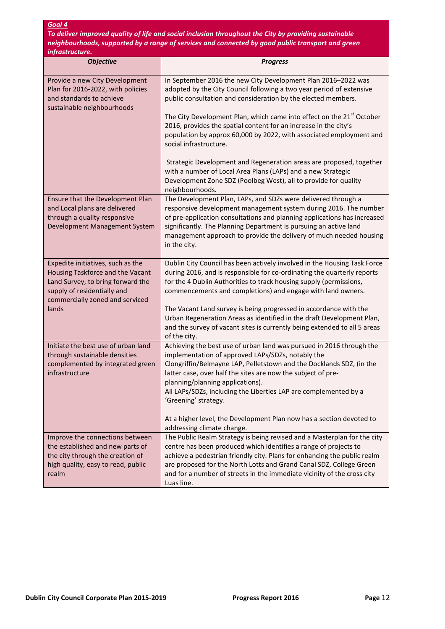To deliver improved quality of life and social inclusion throughout the City by providing sustainable neighbourhoods, supported by a range of services and connected by good public transport and green .<br>infrastructu

| ,,,, usu uclui<br><b>Objective</b>                                                                                                                                           | <b>Progress</b>                                                                                                                                                                                                                                                                                                                                                                          |
|------------------------------------------------------------------------------------------------------------------------------------------------------------------------------|------------------------------------------------------------------------------------------------------------------------------------------------------------------------------------------------------------------------------------------------------------------------------------------------------------------------------------------------------------------------------------------|
| Provide a new City Development<br>Plan for 2016-2022, with policies<br>and standards to achieve                                                                              | In September 2016 the new City Development Plan 2016-2022 was<br>adopted by the City Council following a two year period of extensive<br>public consultation and consideration by the elected members.                                                                                                                                                                                   |
| sustainable neighbourhoods                                                                                                                                                   | The City Development Plan, which came into effect on the 21 <sup>st</sup> October<br>2016, provides the spatial content for an increase in the city's<br>population by approx 60,000 by 2022, with associated employment and<br>social infrastructure.                                                                                                                                   |
|                                                                                                                                                                              | Strategic Development and Regeneration areas are proposed, together<br>with a number of Local Area Plans (LAPs) and a new Strategic<br>Development Zone SDZ (Poolbeg West), all to provide for quality<br>neighbourhoods.                                                                                                                                                                |
| Ensure that the Development Plan<br>and Local plans are delivered<br>through a quality responsive<br>Development Management System                                           | The Development Plan, LAPs, and SDZs were delivered through a<br>responsive development management system during 2016. The number<br>of pre-application consultations and planning applications has increased<br>significantly. The Planning Department is pursuing an active land<br>management approach to provide the delivery of much needed housing<br>in the city.                 |
| Expedite initiatives, such as the<br>Housing Taskforce and the Vacant<br>Land Survey, to bring forward the<br>supply of residentially and<br>commercially zoned and serviced | Dublin City Council has been actively involved in the Housing Task Force<br>during 2016, and is responsible for co-ordinating the quarterly reports<br>for the 4 Dublin Authorities to track housing supply (permissions,<br>commencements and completions) and engage with land owners.                                                                                                 |
| lands                                                                                                                                                                        | The Vacant Land survey is being progressed in accordance with the<br>Urban Regeneration Areas as identified in the draft Development Plan,<br>and the survey of vacant sites is currently being extended to all 5 areas<br>of the city.                                                                                                                                                  |
| Initiate the best use of urban land<br>through sustainable densities                                                                                                         | Achieving the best use of urban land was pursued in 2016 through the<br>implementation of approved LAPs/SDZs, notably the                                                                                                                                                                                                                                                                |
| complemented by integrated green<br>infrastructure                                                                                                                           | Clongriffin/Belmayne LAP, Pelletstown and the Docklands SDZ, (in the<br>latter case, over half the sites are now the subject of pre-                                                                                                                                                                                                                                                     |
|                                                                                                                                                                              | planning/planning applications).<br>All LAPs/SDZs, including the Liberties LAP are complemented by a<br>'Greening' strategy.                                                                                                                                                                                                                                                             |
|                                                                                                                                                                              | At a higher level, the Development Plan now has a section devoted to<br>addressing climate change.                                                                                                                                                                                                                                                                                       |
| Improve the connections between<br>the established and new parts of<br>the city through the creation of<br>high quality, easy to read, public<br>realm                       | The Public Realm Strategy is being revised and a Masterplan for the city<br>centre has been produced which identifies a range of projects to<br>achieve a pedestrian friendly city. Plans for enhancing the public realm<br>are proposed for the North Lotts and Grand Canal SDZ, College Green<br>and for a number of streets in the immediate vicinity of the cross city<br>Luas line. |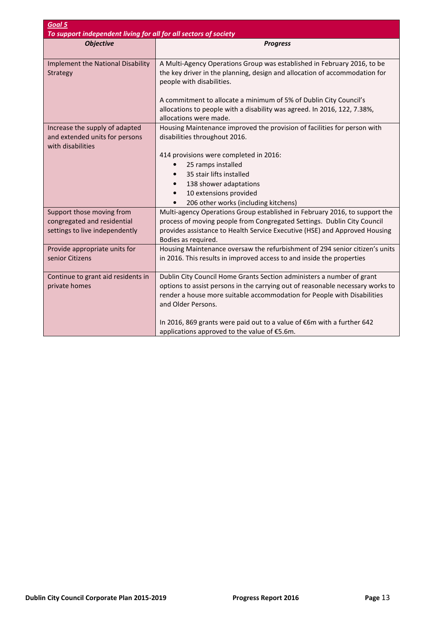| Goal 5                                                                                     |                                                                                                                                                                                                                                                            |
|--------------------------------------------------------------------------------------------|------------------------------------------------------------------------------------------------------------------------------------------------------------------------------------------------------------------------------------------------------------|
| To support independent living for all for all sectors of society<br><b>Objective</b>       | <b>Progress</b>                                                                                                                                                                                                                                            |
|                                                                                            |                                                                                                                                                                                                                                                            |
| <b>Implement the National Disability</b><br>Strategy                                       | A Multi-Agency Operations Group was established in February 2016, to be<br>the key driver in the planning, design and allocation of accommodation for<br>people with disabilities.                                                                         |
|                                                                                            | A commitment to allocate a minimum of 5% of Dublin City Council's                                                                                                                                                                                          |
|                                                                                            | allocations to people with a disability was agreed. In 2016, 122, 7.38%,<br>allocations were made.                                                                                                                                                         |
| Increase the supply of adapted<br>and extended units for persons<br>with disabilities      | Housing Maintenance improved the provision of facilities for person with<br>disabilities throughout 2016.                                                                                                                                                  |
|                                                                                            | 414 provisions were completed in 2016:                                                                                                                                                                                                                     |
|                                                                                            | 25 ramps installed                                                                                                                                                                                                                                         |
|                                                                                            | 35 stair lifts installed                                                                                                                                                                                                                                   |
|                                                                                            | 138 shower adaptations<br>$\bullet$                                                                                                                                                                                                                        |
|                                                                                            | 10 extensions provided<br>206 other works (including kitchens)                                                                                                                                                                                             |
| Support those moving from<br>congregated and residential<br>settings to live independently | Multi-agency Operations Group established in February 2016, to support the<br>process of moving people from Congregated Settings. Dublin City Council<br>provides assistance to Health Service Executive (HSE) and Approved Housing<br>Bodies as required. |
| Provide appropriate units for<br>senior Citizens                                           | Housing Maintenance oversaw the refurbishment of 294 senior citizen's units<br>in 2016. This results in improved access to and inside the properties                                                                                                       |
| Continue to grant aid residents in<br>private homes                                        | Dublin City Council Home Grants Section administers a number of grant<br>options to assist persons in the carrying out of reasonable necessary works to<br>render a house more suitable accommodation for People with Disabilities<br>and Older Persons.   |
|                                                                                            | In 2016, 869 grants were paid out to a value of €6m with a further 642<br>applications approved to the value of €5.6m.                                                                                                                                     |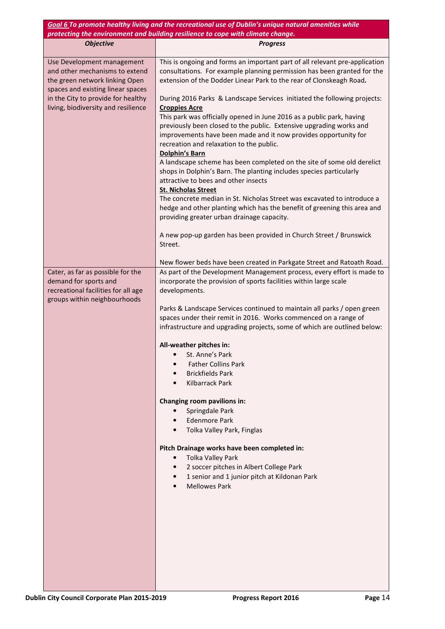|                                                                                                                                                                                                                  | Goal 6 To promote healthy living and the recreational use of Dublin's unique natural amenities while<br>protecting the environment and building resilience to cope with climate change.                                                                                                                                                                                                                                                                                                                                                                                                                                                                                                                                                                                                                                                                                                                                                                                                                                                               |
|------------------------------------------------------------------------------------------------------------------------------------------------------------------------------------------------------------------|-------------------------------------------------------------------------------------------------------------------------------------------------------------------------------------------------------------------------------------------------------------------------------------------------------------------------------------------------------------------------------------------------------------------------------------------------------------------------------------------------------------------------------------------------------------------------------------------------------------------------------------------------------------------------------------------------------------------------------------------------------------------------------------------------------------------------------------------------------------------------------------------------------------------------------------------------------------------------------------------------------------------------------------------------------|
| <b>Objective</b>                                                                                                                                                                                                 | <b>Progress</b>                                                                                                                                                                                                                                                                                                                                                                                                                                                                                                                                                                                                                                                                                                                                                                                                                                                                                                                                                                                                                                       |
| Use Development management<br>and other mechanisms to extend<br>the green network linking Open<br>spaces and existing linear spaces<br>in the City to provide for healthy<br>living, biodiversity and resilience | This is ongoing and forms an important part of all relevant pre-application<br>consultations. For example planning permission has been granted for the<br>extension of the Dodder Linear Park to the rear of Clonskeagh Road.<br>During 2016 Parks & Landscape Services initiated the following projects:<br><b>Croppies Acre</b><br>This park was officially opened in June 2016 as a public park, having<br>previously been closed to the public. Extensive upgrading works and<br>improvements have been made and it now provides opportunity for<br>recreation and relaxation to the public.<br><b>Dolphin's Barn</b><br>A landscape scheme has been completed on the site of some old derelict<br>shops in Dolphin's Barn. The planting includes species particularly<br>attractive to bees and other insects<br><b>St. Nicholas Street</b><br>The concrete median in St. Nicholas Street was excavated to introduce a<br>hedge and other planting which has the benefit of greening this area and<br>providing greater urban drainage capacity. |
|                                                                                                                                                                                                                  | A new pop-up garden has been provided in Church Street / Brunswick<br>Street.                                                                                                                                                                                                                                                                                                                                                                                                                                                                                                                                                                                                                                                                                                                                                                                                                                                                                                                                                                         |
| Cater, as far as possible for the<br>demand for sports and<br>recreational facilities for all age<br>groups within neighbourhoods                                                                                | New flower beds have been created in Parkgate Street and Ratoath Road.<br>As part of the Development Management process, every effort is made to<br>incorporate the provision of sports facilities within large scale<br>developments.<br>Parks & Landscape Services continued to maintain all parks / open green<br>spaces under their remit in 2016. Works commenced on a range of<br>infrastructure and upgrading projects, some of which are outlined below:<br>All-weather pitches in:<br>St. Anne's Park<br><b>Father Collins Park</b><br><b>Brickfields Park</b><br>Kilbarrack Park<br>Changing room pavilions in:<br>Springdale Park<br>$\bullet$<br><b>Edenmore Park</b><br>Tolka Valley Park, Finglas<br>Pitch Drainage works have been completed in:<br>Tolka Valley Park<br>$\bullet$<br>2 soccer pitches in Albert College Park<br>1 senior and 1 junior pitch at Kildonan Park<br><b>Mellowes Park</b>                                                                                                                                  |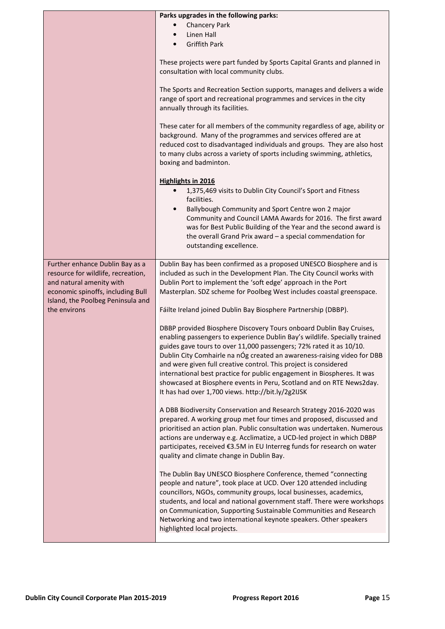|                                                                                                                                                                                             | Parks upgrades in the following parks:<br><b>Chancery Park</b><br>$\bullet$                                                                                                                                                                                                                                                                                                                                                                                                                                                                                                      |
|---------------------------------------------------------------------------------------------------------------------------------------------------------------------------------------------|----------------------------------------------------------------------------------------------------------------------------------------------------------------------------------------------------------------------------------------------------------------------------------------------------------------------------------------------------------------------------------------------------------------------------------------------------------------------------------------------------------------------------------------------------------------------------------|
|                                                                                                                                                                                             | Linen Hall<br>$\bullet$<br><b>Griffith Park</b><br>$\bullet$                                                                                                                                                                                                                                                                                                                                                                                                                                                                                                                     |
|                                                                                                                                                                                             | These projects were part funded by Sports Capital Grants and planned in<br>consultation with local community clubs.                                                                                                                                                                                                                                                                                                                                                                                                                                                              |
|                                                                                                                                                                                             | The Sports and Recreation Section supports, manages and delivers a wide<br>range of sport and recreational programmes and services in the city<br>annually through its facilities.                                                                                                                                                                                                                                                                                                                                                                                               |
|                                                                                                                                                                                             | These cater for all members of the community regardless of age, ability or<br>background. Many of the programmes and services offered are at<br>reduced cost to disadvantaged individuals and groups. They are also host<br>to many clubs across a variety of sports including swimming, athletics,<br>boxing and badminton.                                                                                                                                                                                                                                                     |
|                                                                                                                                                                                             | <b>Highlights in 2016</b><br>1,375,469 visits to Dublin City Council's Sport and Fitness<br>facilities.<br>Ballybough Community and Sport Centre won 2 major<br>$\bullet$<br>Community and Council LAMA Awards for 2016. The first award<br>was for Best Public Building of the Year and the second award is<br>the overall Grand Prix award $-$ a special commendation for<br>outstanding excellence.                                                                                                                                                                           |
| Further enhance Dublin Bay as a<br>resource for wildlife, recreation,<br>and natural amenity with<br>economic spinoffs, including Bull<br>Island, the Poolbeg Peninsula and<br>the environs | Dublin Bay has been confirmed as a proposed UNESCO Biosphere and is<br>included as such in the Development Plan. The City Council works with<br>Dublin Port to implement the 'soft edge' approach in the Port<br>Masterplan. SDZ scheme for Poolbeg West includes coastal greenspace.<br>Fáilte Ireland joined Dublin Bay Biosphere Partnership (DBBP).                                                                                                                                                                                                                          |
|                                                                                                                                                                                             | DBBP provided Biosphere Discovery Tours onboard Dublin Bay Cruises,<br>enabling passengers to experience Dublin Bay's wildlife. Specially trained<br>guides gave tours to over 11,000 passengers; 72% rated it as 10/10.<br>Dublin City Comhairle na nÓg created an awareness-raising video for DBB<br>and were given full creative control. This project is considered<br>international best practice for public engagement in Biospheres. It was<br>showcased at Biosphere events in Peru, Scotland and on RTE News2day.<br>It has had over 1,700 views. http://bit.ly/2g2IJSK |
|                                                                                                                                                                                             | A DBB Biodiversity Conservation and Research Strategy 2016-2020 was<br>prepared. A working group met four times and proposed, discussed and<br>prioritised an action plan. Public consultation was undertaken. Numerous<br>actions are underway e.g. Acclimatize, a UCD-led project in which DBBP<br>participates, received €3.5M in EU Interreg funds for research on water<br>quality and climate change in Dublin Bay.                                                                                                                                                        |
|                                                                                                                                                                                             | The Dublin Bay UNESCO Biosphere Conference, themed "connecting<br>people and nature", took place at UCD. Over 120 attended including<br>councillors, NGOs, community groups, local businesses, academics,<br>students, and local and national government staff. There were workshops<br>on Communication, Supporting Sustainable Communities and Research<br>Networking and two international keynote speakers. Other speakers<br>highlighted local projects.                                                                                                                    |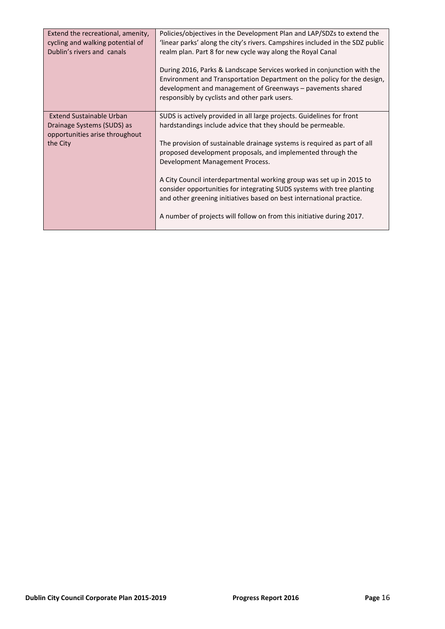| Extend the recreational, amenity,<br>cycling and walking potential of<br>Dublin's rivers and canals         | Policies/objectives in the Development Plan and LAP/SDZs to extend the<br>'linear parks' along the city's rivers. Campshires included in the SDZ public<br>realm plan. Part 8 for new cycle way along the Royal Canal<br>During 2016, Parks & Landscape Services worked in conjunction with the<br>Environment and Transportation Department on the policy for the design,<br>development and management of Greenways – pavements shared<br>responsibly by cyclists and other park users.                                                                                                                             |
|-------------------------------------------------------------------------------------------------------------|-----------------------------------------------------------------------------------------------------------------------------------------------------------------------------------------------------------------------------------------------------------------------------------------------------------------------------------------------------------------------------------------------------------------------------------------------------------------------------------------------------------------------------------------------------------------------------------------------------------------------|
| <b>Extend Sustainable Urban</b><br>Drainage Systems (SUDS) as<br>opportunities arise throughout<br>the City | SUDS is actively provided in all large projects. Guidelines for front<br>hardstandings include advice that they should be permeable.<br>The provision of sustainable drainage systems is required as part of all<br>proposed development proposals, and implemented through the<br>Development Management Process.<br>A City Council interdepartmental working group was set up in 2015 to<br>consider opportunities for integrating SUDS systems with tree planting<br>and other greening initiatives based on best international practice.<br>A number of projects will follow on from this initiative during 2017. |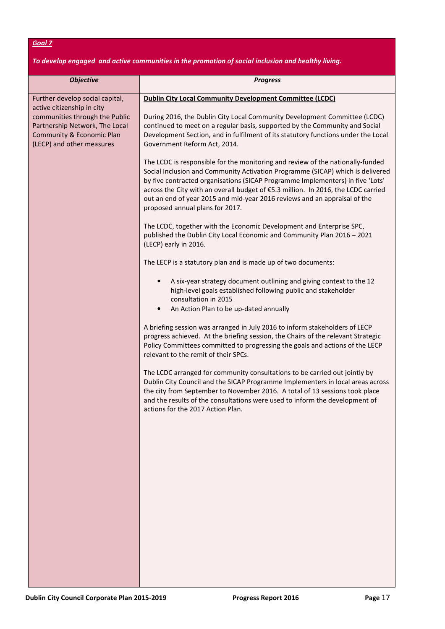#### To develop engaged and active communities in the promotion of social inclusion and healthy living.

| <b>Objective</b>                                                                                                                                         | <b>Progress</b>                                                                                                                                                                                                                                                                                                                                                                                                                                         |
|----------------------------------------------------------------------------------------------------------------------------------------------------------|---------------------------------------------------------------------------------------------------------------------------------------------------------------------------------------------------------------------------------------------------------------------------------------------------------------------------------------------------------------------------------------------------------------------------------------------------------|
| Further develop social capital,                                                                                                                          | <b>Dublin City Local Community Development Committee (LCDC)</b>                                                                                                                                                                                                                                                                                                                                                                                         |
| active citizenship in city<br>communities through the Public<br>Partnership Network, The Local<br>Community & Economic Plan<br>(LECP) and other measures | During 2016, the Dublin City Local Community Development Committee (LCDC)<br>continued to meet on a regular basis, supported by the Community and Social<br>Development Section, and in fulfilment of its statutory functions under the Local<br>Government Reform Act, 2014.                                                                                                                                                                           |
|                                                                                                                                                          | The LCDC is responsible for the monitoring and review of the nationally-funded<br>Social Inclusion and Community Activation Programme (SICAP) which is delivered<br>by five contracted organisations (SICAP Programme Implementers) in five 'Lots'<br>across the City with an overall budget of €5.3 million. In 2016, the LCDC carried<br>out an end of year 2015 and mid-year 2016 reviews and an appraisal of the<br>proposed annual plans for 2017. |
|                                                                                                                                                          | The LCDC, together with the Economic Development and Enterprise SPC,<br>published the Dublin City Local Economic and Community Plan 2016 - 2021<br>(LECP) early in 2016.                                                                                                                                                                                                                                                                                |
|                                                                                                                                                          | The LECP is a statutory plan and is made up of two documents:                                                                                                                                                                                                                                                                                                                                                                                           |
|                                                                                                                                                          | A six-year strategy document outlining and giving context to the 12<br>high-level goals established following public and stakeholder<br>consultation in 2015<br>$\bullet$                                                                                                                                                                                                                                                                               |
|                                                                                                                                                          | An Action Plan to be up-dated annually                                                                                                                                                                                                                                                                                                                                                                                                                  |
|                                                                                                                                                          | A briefing session was arranged in July 2016 to inform stakeholders of LECP<br>progress achieved. At the briefing session, the Chairs of the relevant Strategic<br>Policy Committees committed to progressing the goals and actions of the LECP<br>relevant to the remit of their SPCs.                                                                                                                                                                 |
|                                                                                                                                                          | The LCDC arranged for community consultations to be carried out jointly by<br>Dublin City Council and the SICAP Programme Implementers in local areas across<br>the city from September to November 2016. A total of 13 sessions took place<br>and the results of the consultations were used to inform the development of<br>actions for the 2017 Action Plan.                                                                                         |
|                                                                                                                                                          |                                                                                                                                                                                                                                                                                                                                                                                                                                                         |
|                                                                                                                                                          |                                                                                                                                                                                                                                                                                                                                                                                                                                                         |
|                                                                                                                                                          |                                                                                                                                                                                                                                                                                                                                                                                                                                                         |
|                                                                                                                                                          |                                                                                                                                                                                                                                                                                                                                                                                                                                                         |
|                                                                                                                                                          |                                                                                                                                                                                                                                                                                                                                                                                                                                                         |
|                                                                                                                                                          |                                                                                                                                                                                                                                                                                                                                                                                                                                                         |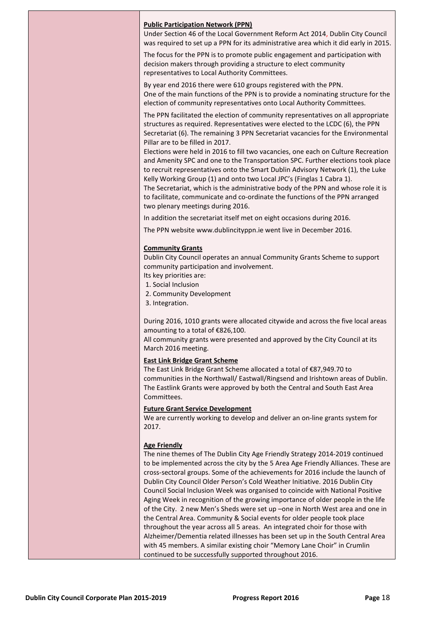#### Public Participation Network (PPN)

Under Section 46 of the Local Government Reform Act 2014, Dublin City Council was required to set up a PPN for its administrative area which it did early in 2015.

The focus for the PPN is to promote public engagement and participation with decision makers through providing a structure to elect community representatives to Local Authority Committees.

By year end 2016 there were 610 groups registered with the PPN. One of the main functions of the PPN is to provide a nominating structure for the election of community representatives onto Local Authority Committees.

The PPN facilitated the election of community representatives on all appropriate structures as required. Representatives were elected to the LCDC (6), the PPN Secretariat (6). The remaining 3 PPN Secretariat vacancies for the Environmental Pillar are to be filled in 2017.

Elections were held in 2016 to fill two vacancies, one each on Culture Recreation and Amenity SPC and one to the Transportation SPC. Further elections took place to recruit representatives onto the Smart Dublin Advisory Network (1), the Luke Kelly Working Group (1) and onto two Local JPC's (Finglas 1 Cabra 1).

The Secretariat, which is the administrative body of the PPN and whose role it is to facilitate, communicate and co-ordinate the functions of the PPN arranged two plenary meetings during 2016.

In addition the secretariat itself met on eight occasions during 2016.

The PPN website www.dublincityppn.ie went live in December 2016.

#### Community Grants

Dublin City Council operates an annual Community Grants Scheme to support community participation and involvement.

- Its key priorities are:
- 1. Social Inclusion
- 2. Community Development
- 3. Integration.

During 2016, 1010 grants were allocated citywide and across the five local areas amounting to a total of €826,100.

All community grants were presented and approved by the City Council at its March 2016 meeting.

#### East Link Bridge Grant Scheme

The East Link Bridge Grant Scheme allocated a total of €87,949.70 to communities in the Northwall/ Eastwall/Ringsend and Irishtown areas of Dublin. The Eastlink Grants were approved by both the Central and South East Area **Committees** 

#### Future Grant Service Development

We are currently working to develop and deliver an on-line grants system for 2017.

#### Age Friendly

The nine themes of The Dublin City Age Friendly Strategy 2014-2019 continued to be implemented across the city by the 5 Area Age Friendly Alliances. These are cross-sectoral groups. Some of the achievements for 2016 include the launch of Dublin City Council Older Person's Cold Weather Initiative. 2016 Dublin City Council Social Inclusion Week was organised to coincide with National Positive Aging Week in recognition of the growing importance of older people in the life of the City. 2 new Men's Sheds were set up –one in North West area and one in the Central Area. Community & Social events for older people took place throughout the year across all 5 areas. An integrated choir for those with Alzheimer/Dementia related illnesses has been set up in the South Central Area with 45 members. A similar existing choir "Memory Lane Choir" in Crumlin continued to be successfully supported throughout 2016.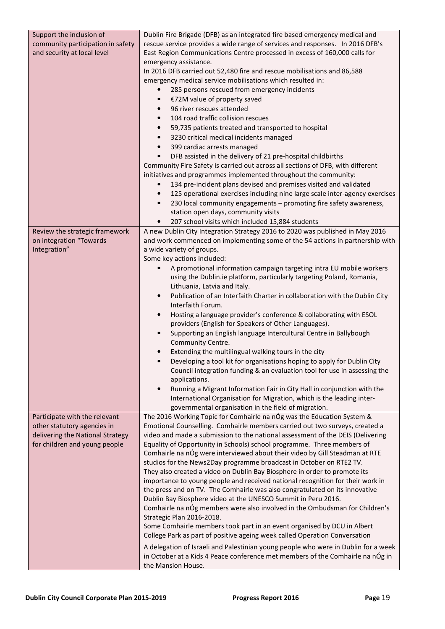| Support the inclusion of<br>community participation in safety<br>and security at local level | Dublin Fire Brigade (DFB) as an integrated fire based emergency medical and<br>rescue service provides a wide range of services and responses. In 2016 DFB's<br>East Region Communications Centre processed in excess of 160,000 calls for<br>emergency assistance.<br>In 2016 DFB carried out 52,480 fire and rescue mobilisations and 86,588<br>emergency medical service mobilisations which resulted in:<br>285 persons rescued from emergency incidents<br>$\bullet$<br>€72M value of property saved<br>$\bullet$<br>96 river rescues attended<br>$\bullet$<br>104 road traffic collision rescues<br>$\bullet$<br>59,735 patients treated and transported to hospital<br>$\bullet$<br>3230 critical medical incidents managed<br>$\bullet$<br>399 cardiac arrests managed<br>$\bullet$<br>DFB assisted in the delivery of 21 pre-hospital childbirths<br>$\bullet$<br>Community Fire Safety is carried out across all sections of DFB, with different<br>initiatives and programmes implemented throughout the community:<br>134 pre-incident plans devised and premises visited and validated<br>$\bullet$<br>125 operational exercises including nine large scale inter-agency exercises<br>$\bullet$<br>230 local community engagements - promoting fire safety awareness,<br>$\bullet$<br>station open days, community visits |
|----------------------------------------------------------------------------------------------|----------------------------------------------------------------------------------------------------------------------------------------------------------------------------------------------------------------------------------------------------------------------------------------------------------------------------------------------------------------------------------------------------------------------------------------------------------------------------------------------------------------------------------------------------------------------------------------------------------------------------------------------------------------------------------------------------------------------------------------------------------------------------------------------------------------------------------------------------------------------------------------------------------------------------------------------------------------------------------------------------------------------------------------------------------------------------------------------------------------------------------------------------------------------------------------------------------------------------------------------------------------------------------------------------------------------------------------|
| Review the strategic framework                                                               | 207 school visits which included 15,884 students<br>$\bullet$<br>A new Dublin City Integration Strategy 2016 to 2020 was published in May 2016                                                                                                                                                                                                                                                                                                                                                                                                                                                                                                                                                                                                                                                                                                                                                                                                                                                                                                                                                                                                                                                                                                                                                                                         |
| on integration "Towards                                                                      | and work commenced on implementing some of the 54 actions in partnership with                                                                                                                                                                                                                                                                                                                                                                                                                                                                                                                                                                                                                                                                                                                                                                                                                                                                                                                                                                                                                                                                                                                                                                                                                                                          |
| Integration"                                                                                 | a wide variety of groups.                                                                                                                                                                                                                                                                                                                                                                                                                                                                                                                                                                                                                                                                                                                                                                                                                                                                                                                                                                                                                                                                                                                                                                                                                                                                                                              |
|                                                                                              | Some key actions included:<br>A promotional information campaign targeting intra EU mobile workers                                                                                                                                                                                                                                                                                                                                                                                                                                                                                                                                                                                                                                                                                                                                                                                                                                                                                                                                                                                                                                                                                                                                                                                                                                     |
|                                                                                              | $\bullet$<br>using the Dublin.ie platform, particularly targeting Poland, Romania,                                                                                                                                                                                                                                                                                                                                                                                                                                                                                                                                                                                                                                                                                                                                                                                                                                                                                                                                                                                                                                                                                                                                                                                                                                                     |
|                                                                                              | Lithuania, Latvia and Italy.                                                                                                                                                                                                                                                                                                                                                                                                                                                                                                                                                                                                                                                                                                                                                                                                                                                                                                                                                                                                                                                                                                                                                                                                                                                                                                           |
|                                                                                              | Publication of an Interfaith Charter in collaboration with the Dublin City<br>$\bullet$<br>Interfaith Forum.                                                                                                                                                                                                                                                                                                                                                                                                                                                                                                                                                                                                                                                                                                                                                                                                                                                                                                                                                                                                                                                                                                                                                                                                                           |
|                                                                                              | Hosting a language provider's conference & collaborating with ESOL<br>$\bullet$                                                                                                                                                                                                                                                                                                                                                                                                                                                                                                                                                                                                                                                                                                                                                                                                                                                                                                                                                                                                                                                                                                                                                                                                                                                        |
|                                                                                              | providers (English for Speakers of Other Languages).<br>Supporting an English language Intercultural Centre in Ballybough<br>$\bullet$                                                                                                                                                                                                                                                                                                                                                                                                                                                                                                                                                                                                                                                                                                                                                                                                                                                                                                                                                                                                                                                                                                                                                                                                 |
|                                                                                              | Community Centre.                                                                                                                                                                                                                                                                                                                                                                                                                                                                                                                                                                                                                                                                                                                                                                                                                                                                                                                                                                                                                                                                                                                                                                                                                                                                                                                      |
|                                                                                              | Extending the multilingual walking tours in the city                                                                                                                                                                                                                                                                                                                                                                                                                                                                                                                                                                                                                                                                                                                                                                                                                                                                                                                                                                                                                                                                                                                                                                                                                                                                                   |
|                                                                                              | Developing a tool kit for organisations hoping to apply for Dublin City<br>$\bullet$                                                                                                                                                                                                                                                                                                                                                                                                                                                                                                                                                                                                                                                                                                                                                                                                                                                                                                                                                                                                                                                                                                                                                                                                                                                   |
|                                                                                              | Council integration funding & an evaluation tool for use in assessing the<br>applications.                                                                                                                                                                                                                                                                                                                                                                                                                                                                                                                                                                                                                                                                                                                                                                                                                                                                                                                                                                                                                                                                                                                                                                                                                                             |
|                                                                                              | Running a Migrant Information Fair in City Hall in conjunction with the<br>$\bullet$                                                                                                                                                                                                                                                                                                                                                                                                                                                                                                                                                                                                                                                                                                                                                                                                                                                                                                                                                                                                                                                                                                                                                                                                                                                   |
|                                                                                              | International Organisation for Migration, which is the leading inter-                                                                                                                                                                                                                                                                                                                                                                                                                                                                                                                                                                                                                                                                                                                                                                                                                                                                                                                                                                                                                                                                                                                                                                                                                                                                  |
| Participate with the relevant                                                                | governmental organisation in the field of migration.<br>The 2016 Working Topic for Comhairle na nÓg was the Education System &                                                                                                                                                                                                                                                                                                                                                                                                                                                                                                                                                                                                                                                                                                                                                                                                                                                                                                                                                                                                                                                                                                                                                                                                         |
| other statutory agencies in                                                                  | Emotional Counselling. Comhairle members carried out two surveys, created a                                                                                                                                                                                                                                                                                                                                                                                                                                                                                                                                                                                                                                                                                                                                                                                                                                                                                                                                                                                                                                                                                                                                                                                                                                                            |
| delivering the National Strategy                                                             | video and made a submission to the national assessment of the DEIS (Delivering                                                                                                                                                                                                                                                                                                                                                                                                                                                                                                                                                                                                                                                                                                                                                                                                                                                                                                                                                                                                                                                                                                                                                                                                                                                         |
| for children and young people                                                                | Equality of Opportunity in Schools) school programme. Three members of                                                                                                                                                                                                                                                                                                                                                                                                                                                                                                                                                                                                                                                                                                                                                                                                                                                                                                                                                                                                                                                                                                                                                                                                                                                                 |
|                                                                                              | Comhairle na nÓg were interviewed about their video by Gill Steadman at RTE<br>studios for the News2Day programme broadcast in October on RTE2 TV.                                                                                                                                                                                                                                                                                                                                                                                                                                                                                                                                                                                                                                                                                                                                                                                                                                                                                                                                                                                                                                                                                                                                                                                     |
|                                                                                              | They also created a video on Dublin Bay Biosphere in order to promote its                                                                                                                                                                                                                                                                                                                                                                                                                                                                                                                                                                                                                                                                                                                                                                                                                                                                                                                                                                                                                                                                                                                                                                                                                                                              |
|                                                                                              | importance to young people and received national recognition for their work in                                                                                                                                                                                                                                                                                                                                                                                                                                                                                                                                                                                                                                                                                                                                                                                                                                                                                                                                                                                                                                                                                                                                                                                                                                                         |
|                                                                                              | the press and on TV. The Comhairle was also congratulated on its innovative                                                                                                                                                                                                                                                                                                                                                                                                                                                                                                                                                                                                                                                                                                                                                                                                                                                                                                                                                                                                                                                                                                                                                                                                                                                            |
|                                                                                              | Dublin Bay Biosphere video at the UNESCO Summit in Peru 2016.<br>Comhairle na nÓg members were also involved in the Ombudsman for Children's                                                                                                                                                                                                                                                                                                                                                                                                                                                                                                                                                                                                                                                                                                                                                                                                                                                                                                                                                                                                                                                                                                                                                                                           |
|                                                                                              | Strategic Plan 2016-2018.                                                                                                                                                                                                                                                                                                                                                                                                                                                                                                                                                                                                                                                                                                                                                                                                                                                                                                                                                                                                                                                                                                                                                                                                                                                                                                              |
|                                                                                              | Some Comhairle members took part in an event organised by DCU in Albert                                                                                                                                                                                                                                                                                                                                                                                                                                                                                                                                                                                                                                                                                                                                                                                                                                                                                                                                                                                                                                                                                                                                                                                                                                                                |
|                                                                                              | College Park as part of positive ageing week called Operation Conversation                                                                                                                                                                                                                                                                                                                                                                                                                                                                                                                                                                                                                                                                                                                                                                                                                                                                                                                                                                                                                                                                                                                                                                                                                                                             |
|                                                                                              | A delegation of Israeli and Palestinian young people who were in Dublin for a week<br>in October at a Kids 4 Peace conference met members of the Comhairle na nÓg in                                                                                                                                                                                                                                                                                                                                                                                                                                                                                                                                                                                                                                                                                                                                                                                                                                                                                                                                                                                                                                                                                                                                                                   |
|                                                                                              | the Mansion House.                                                                                                                                                                                                                                                                                                                                                                                                                                                                                                                                                                                                                                                                                                                                                                                                                                                                                                                                                                                                                                                                                                                                                                                                                                                                                                                     |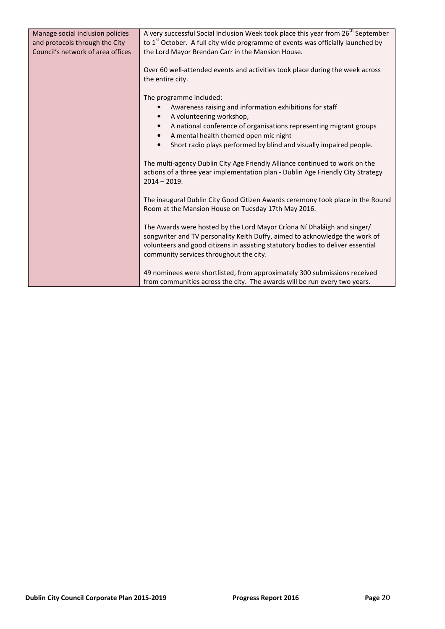| Manage social inclusion policies<br>and protocols through the City | A very successful Social Inclusion Week took place this year from 26 <sup>th</sup> September<br>to 1 <sup>st</sup> October. A full city wide programme of events was officially launched by                                                                                          |
|--------------------------------------------------------------------|--------------------------------------------------------------------------------------------------------------------------------------------------------------------------------------------------------------------------------------------------------------------------------------|
| Council's network of area offices                                  | the Lord Mayor Brendan Carr in the Mansion House.                                                                                                                                                                                                                                    |
|                                                                    | Over 60 well-attended events and activities took place during the week across<br>the entire city.                                                                                                                                                                                    |
|                                                                    | The programme included:                                                                                                                                                                                                                                                              |
|                                                                    | Awareness raising and information exhibitions for staff<br>A volunteering workshop,                                                                                                                                                                                                  |
|                                                                    | A national conference of organisations representing migrant groups<br>$\bullet$                                                                                                                                                                                                      |
|                                                                    | A mental health themed open mic night                                                                                                                                                                                                                                                |
|                                                                    | Short radio plays performed by blind and visually impaired people.<br>$\bullet$                                                                                                                                                                                                      |
|                                                                    | The multi-agency Dublin City Age Friendly Alliance continued to work on the<br>actions of a three year implementation plan - Dublin Age Friendly City Strategy<br>$2014 - 2019.$                                                                                                     |
|                                                                    | The inaugural Dublin City Good Citizen Awards ceremony took place in the Round<br>Room at the Mansion House on Tuesday 17th May 2016.                                                                                                                                                |
|                                                                    | The Awards were hosted by the Lord Mayor Críona Ní Dhaláigh and singer/<br>songwriter and TV personality Keith Duffy, aimed to acknowledge the work of<br>volunteers and good citizens in assisting statutory bodies to deliver essential<br>community services throughout the city. |
|                                                                    | 49 nominees were shortlisted, from approximately 300 submissions received                                                                                                                                                                                                            |
|                                                                    | from communities across the city. The awards will be run every two years.                                                                                                                                                                                                            |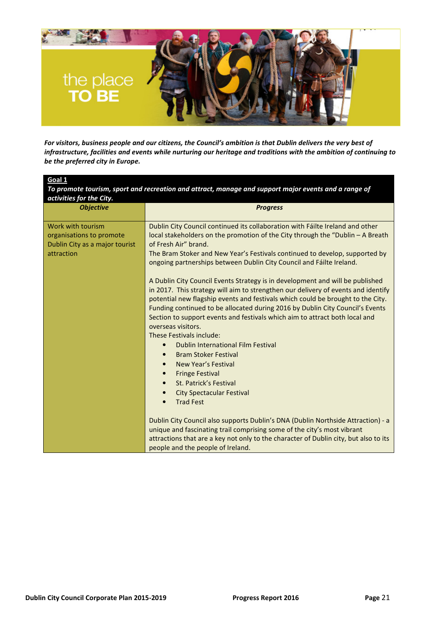

For visitors, business people and our citizens, the Council's ambition is that Dublin delivers the very best of infrastructure, facilities and events while nurturing our heritage and traditions with the ambition of continuing to be the preferred city in Europe.

| Goal 1                                                                                        |                                                                                                                                                                                                                                                                                                                                                                                                                                                                                                                                                                                                                                                                                                                                                                                                                                                                                                                                                                                                                                                       |
|-----------------------------------------------------------------------------------------------|-------------------------------------------------------------------------------------------------------------------------------------------------------------------------------------------------------------------------------------------------------------------------------------------------------------------------------------------------------------------------------------------------------------------------------------------------------------------------------------------------------------------------------------------------------------------------------------------------------------------------------------------------------------------------------------------------------------------------------------------------------------------------------------------------------------------------------------------------------------------------------------------------------------------------------------------------------------------------------------------------------------------------------------------------------|
| activities for the City.                                                                      | To promote tourism, sport and recreation and attract, manage and support major events and a range of                                                                                                                                                                                                                                                                                                                                                                                                                                                                                                                                                                                                                                                                                                                                                                                                                                                                                                                                                  |
| <b>Objective</b>                                                                              | <b>Progress</b>                                                                                                                                                                                                                                                                                                                                                                                                                                                                                                                                                                                                                                                                                                                                                                                                                                                                                                                                                                                                                                       |
| Work with tourism<br>organisations to promote<br>Dublin City as a major tourist<br>attraction | Dublin City Council continued its collaboration with Fáilte Ireland and other<br>local stakeholders on the promotion of the City through the "Dublin - A Breath<br>of Fresh Air" brand.<br>The Bram Stoker and New Year's Festivals continued to develop, supported by<br>ongoing partnerships between Dublin City Council and Fáilte Ireland.<br>A Dublin City Council Events Strategy is in development and will be published<br>in 2017. This strategy will aim to strengthen our delivery of events and identify<br>potential new flagship events and festivals which could be brought to the City.<br>Funding continued to be allocated during 2016 by Dublin City Council's Events<br>Section to support events and festivals which aim to attract both local and<br>overseas visitors.<br>These Festivals include:<br>Dublin International Film Festival<br>$\bullet$<br><b>Bram Stoker Festival</b><br>New Year's Festival<br><b>Fringe Festival</b><br><b>St. Patrick's Festival</b><br><b>City Spectacular Festival</b><br><b>Trad Fest</b> |
|                                                                                               | Dublin City Council also supports Dublin's DNA (Dublin Northside Attraction) - a                                                                                                                                                                                                                                                                                                                                                                                                                                                                                                                                                                                                                                                                                                                                                                                                                                                                                                                                                                      |
|                                                                                               | attractions that are a key not only to the character of Dublin city, but also to its                                                                                                                                                                                                                                                                                                                                                                                                                                                                                                                                                                                                                                                                                                                                                                                                                                                                                                                                                                  |
|                                                                                               | unique and fascinating trail comprising some of the city's most vibrant<br>people and the people of Ireland.                                                                                                                                                                                                                                                                                                                                                                                                                                                                                                                                                                                                                                                                                                                                                                                                                                                                                                                                          |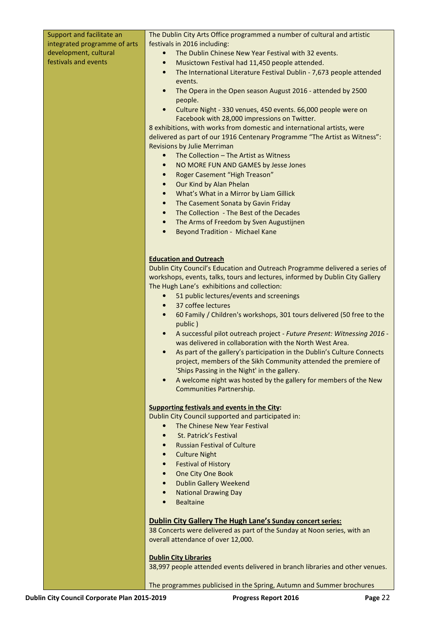| Support and facilitate an    | The Dublin City Arts Office programmed a number of cultural and artistic                                                                         |
|------------------------------|--------------------------------------------------------------------------------------------------------------------------------------------------|
| integrated programme of arts | festivals in 2016 including:                                                                                                                     |
| development, cultural        | The Dublin Chinese New Year Festival with 32 events.<br>$\bullet$                                                                                |
| festivals and events         | Musictown Festival had 11,450 people attended.<br>$\bullet$                                                                                      |
|                              | The International Literature Festival Dublin - 7,673 people attended<br>$\bullet$                                                                |
|                              | events.                                                                                                                                          |
|                              | The Opera in the Open season August 2016 - attended by 2500<br>$\bullet$                                                                         |
|                              | people.                                                                                                                                          |
|                              | Culture Night - 330 venues, 450 events. 66,000 people were on<br>$\bullet$                                                                       |
|                              | Facebook with 28,000 impressions on Twitter.                                                                                                     |
|                              | 8 exhibitions, with works from domestic and international artists, were                                                                          |
|                              | delivered as part of our 1916 Centenary Programme "The Artist as Witness":                                                                       |
|                              | <b>Revisions by Julie Merriman</b>                                                                                                               |
|                              | The Collection - The Artist as Witness<br>$\bullet$                                                                                              |
|                              | NO MORE FUN AND GAMES by Jesse Jones<br>$\bullet$                                                                                                |
|                              | Roger Casement "High Treason"<br>$\bullet$                                                                                                       |
|                              | Our Kind by Alan Phelan<br>$\bullet$                                                                                                             |
|                              | What's What in a Mirror by Liam Gillick<br>$\bullet$                                                                                             |
|                              | The Casement Sonata by Gavin Friday<br>$\bullet$                                                                                                 |
|                              | The Collection - The Best of the Decades<br>$\bullet$                                                                                            |
|                              | The Arms of Freedom by Sven Augustijnen<br>$\bullet$<br>$\bullet$                                                                                |
|                              | <b>Beyond Tradition - Michael Kane</b>                                                                                                           |
|                              |                                                                                                                                                  |
|                              | <b>Education and Outreach</b>                                                                                                                    |
|                              | Dublin City Council's Education and Outreach Programme delivered a series of                                                                     |
|                              | workshops, events, talks, tours and lectures, informed by Dublin City Gallery                                                                    |
|                              | The Hugh Lane's exhibitions and collection:                                                                                                      |
|                              | 51 public lectures/events and screenings<br>$\bullet$                                                                                            |
|                              | 37 coffee lectures<br>$\bullet$                                                                                                                  |
|                              | 60 Family / Children's workshops, 301 tours delivered (50 free to the<br>$\bullet$                                                               |
|                              | public)                                                                                                                                          |
|                              | A successful pilot outreach project - Future Present: Witnessing 2016 -<br>$\bullet$<br>was delivered in collaboration with the North West Area. |
|                              | As part of the gallery's participation in the Dublin's Culture Connects                                                                          |
|                              | project, members of the Sikh Community attended the premiere of                                                                                  |
|                              | 'Ships Passing in the Night' in the gallery.                                                                                                     |
|                              | A welcome night was hosted by the gallery for members of the New<br>$\bullet$                                                                    |
|                              | Communities Partnership.                                                                                                                         |
|                              |                                                                                                                                                  |
|                              | <b>Supporting festivals and events in the City:</b>                                                                                              |
|                              | Dublin City Council supported and participated in:                                                                                               |
|                              | The Chinese New Year Festival                                                                                                                    |
|                              | St. Patrick's Festival<br>$\bullet$                                                                                                              |
|                              | <b>Russian Festival of Culture</b><br>$\bullet$                                                                                                  |
|                              | <b>Culture Night</b><br>$\bullet$                                                                                                                |
|                              | <b>Festival of History</b><br>$\bullet$                                                                                                          |
|                              | One City One Book<br>$\bullet$<br><b>Dublin Gallery Weekend</b><br>$\bullet$                                                                     |
|                              | <b>National Drawing Day</b><br>$\bullet$                                                                                                         |
|                              | <b>Bealtaine</b>                                                                                                                                 |
|                              |                                                                                                                                                  |
|                              | <b>Dublin City Gallery The Hugh Lane's Sunday concert series:</b>                                                                                |
|                              | 38 Concerts were delivered as part of the Sunday at Noon series, with an                                                                         |
|                              | overall attendance of over 12,000.                                                                                                               |
|                              |                                                                                                                                                  |
|                              | <b>Dublin City Libraries</b><br>38,997 people attended events delivered in branch libraries and other venues.                                    |
|                              |                                                                                                                                                  |
|                              | The programmes publicised in the Spring, Autumn and Summer brochures                                                                             |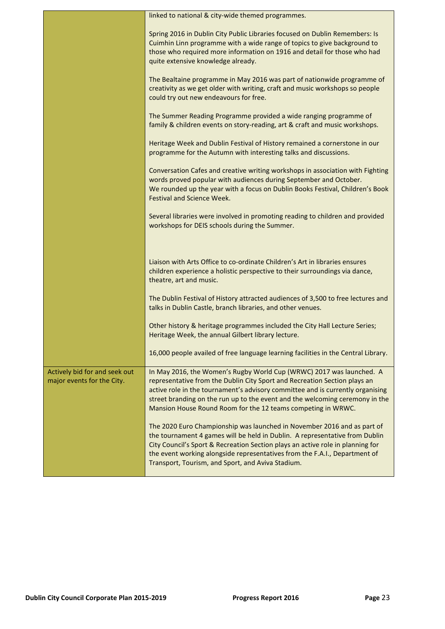|                                                             | linked to national & city-wide themed programmes.                                                                                                                                                                                                                                                                                                                                   |
|-------------------------------------------------------------|-------------------------------------------------------------------------------------------------------------------------------------------------------------------------------------------------------------------------------------------------------------------------------------------------------------------------------------------------------------------------------------|
|                                                             | Spring 2016 in Dublin City Public Libraries focused on Dublin Remembers: Is<br>Cuimhin Linn programme with a wide range of topics to give background to<br>those who required more information on 1916 and detail for those who had                                                                                                                                                 |
|                                                             | quite extensive knowledge already.                                                                                                                                                                                                                                                                                                                                                  |
|                                                             | The Bealtaine programme in May 2016 was part of nationwide programme of<br>creativity as we get older with writing, craft and music workshops so people<br>could try out new endeavours for free.                                                                                                                                                                                   |
|                                                             | The Summer Reading Programme provided a wide ranging programme of<br>family & children events on story-reading, art & craft and music workshops.                                                                                                                                                                                                                                    |
|                                                             | Heritage Week and Dublin Festival of History remained a cornerstone in our<br>programme for the Autumn with interesting talks and discussions.                                                                                                                                                                                                                                      |
|                                                             | Conversation Cafes and creative writing workshops in association with Fighting<br>words proved popular with audiences during September and October.<br>We rounded up the year with a focus on Dublin Books Festival, Children's Book<br><b>Festival and Science Week.</b>                                                                                                           |
|                                                             | Several libraries were involved in promoting reading to children and provided<br>workshops for DEIS schools during the Summer.                                                                                                                                                                                                                                                      |
|                                                             | Liaison with Arts Office to co-ordinate Children's Art in libraries ensures<br>children experience a holistic perspective to their surroundings via dance,<br>theatre, art and music.                                                                                                                                                                                               |
|                                                             | The Dublin Festival of History attracted audiences of 3,500 to free lectures and<br>talks in Dublin Castle, branch libraries, and other venues.                                                                                                                                                                                                                                     |
|                                                             | Other history & heritage programmes included the City Hall Lecture Series;<br>Heritage Week, the annual Gilbert library lecture.                                                                                                                                                                                                                                                    |
|                                                             | 16,000 people availed of free language learning facilities in the Central Library.                                                                                                                                                                                                                                                                                                  |
| Actively bid for and seek out<br>major events for the City. | In May 2016, the Women's Rugby World Cup (WRWC) 2017 was launched. A<br>representative from the Dublin City Sport and Recreation Section plays an<br>active role in the tournament's advisory committee and is currently organising<br>street branding on the run up to the event and the welcoming ceremony in the<br>Mansion House Round Room for the 12 teams competing in WRWC. |
|                                                             | The 2020 Euro Championship was launched in November 2016 and as part of<br>the tournament 4 games will be held in Dublin. A representative from Dublin<br>City Council's Sport & Recreation Section plays an active role in planning for<br>the event working alongside representatives from the F.A.I., Department of<br>Transport, Tourism, and Sport, and Aviva Stadium.         |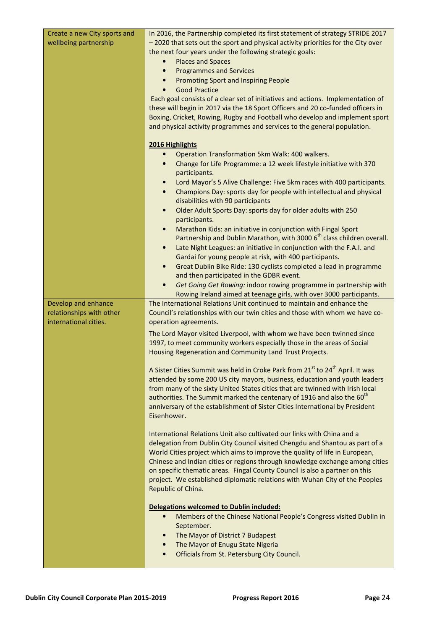| Create a new City sports and<br>wellbeing partnership                    | In 2016, the Partnership completed its first statement of strategy STRIDE 2017<br>-2020 that sets out the sport and physical activity priorities for the City over<br>the next four years under the following strategic goals:<br><b>Places and Spaces</b><br><b>Programmes and Services</b><br>$\bullet$<br><b>Promoting Sport and Inspiring People</b><br><b>Good Practice</b><br>Each goal consists of a clear set of initiatives and actions. Implementation of<br>these will begin in 2017 via the 18 Sport Officers and 20 co-funded officers in<br>Boxing, Cricket, Rowing, Rugby and Football who develop and implement sport<br>and physical activity programmes and services to the general population. |
|--------------------------------------------------------------------------|-------------------------------------------------------------------------------------------------------------------------------------------------------------------------------------------------------------------------------------------------------------------------------------------------------------------------------------------------------------------------------------------------------------------------------------------------------------------------------------------------------------------------------------------------------------------------------------------------------------------------------------------------------------------------------------------------------------------|
|                                                                          | 2016 Highlights                                                                                                                                                                                                                                                                                                                                                                                                                                                                                                                                                                                                                                                                                                   |
|                                                                          | Operation Transformation 5km Walk: 400 walkers.<br>Change for Life Programme: a 12 week lifestyle initiative with 370<br>participants.<br>Lord Mayor's 5 Alive Challenge: Five 5km races with 400 participants.<br>Champions Day: sports day for people with intellectual and physical<br>$\bullet$                                                                                                                                                                                                                                                                                                                                                                                                               |
|                                                                          | disabilities with 90 participants                                                                                                                                                                                                                                                                                                                                                                                                                                                                                                                                                                                                                                                                                 |
|                                                                          | Older Adult Sports Day: sports day for older adults with 250<br>$\bullet$<br>participants.                                                                                                                                                                                                                                                                                                                                                                                                                                                                                                                                                                                                                        |
|                                                                          | Marathon Kids: an initiative in conjunction with Fingal Sport<br>$\bullet$                                                                                                                                                                                                                                                                                                                                                                                                                                                                                                                                                                                                                                        |
|                                                                          | Partnership and Dublin Marathon, with 3000 6 <sup>th</sup> class children overall.<br>Late Night Leagues: an initiative in conjunction with the F.A.I. and<br>$\bullet$                                                                                                                                                                                                                                                                                                                                                                                                                                                                                                                                           |
|                                                                          | Gardai for young people at risk, with 400 participants.                                                                                                                                                                                                                                                                                                                                                                                                                                                                                                                                                                                                                                                           |
|                                                                          | Great Dublin Bike Ride: 130 cyclists completed a lead in programme<br>$\bullet$<br>and then participated in the GDBR event.                                                                                                                                                                                                                                                                                                                                                                                                                                                                                                                                                                                       |
|                                                                          | Get Going Get Rowing: indoor rowing programme in partnership with<br>$\bullet$<br>Rowing Ireland aimed at teenage girls, with over 3000 participants.                                                                                                                                                                                                                                                                                                                                                                                                                                                                                                                                                             |
| Develop and enhance<br>relationships with other<br>international cities. | The International Relations Unit continued to maintain and enhance the<br>Council's relationships with our twin cities and those with whom we have co-<br>operation agreements.                                                                                                                                                                                                                                                                                                                                                                                                                                                                                                                                   |
|                                                                          | The Lord Mayor visited Liverpool, with whom we have been twinned since<br>1997, to meet community workers especially those in the areas of Social<br>Housing Regeneration and Community Land Trust Projects.                                                                                                                                                                                                                                                                                                                                                                                                                                                                                                      |
|                                                                          | A Sister Cities Summit was held in Croke Park from 21 <sup>st</sup> to 24 <sup>th</sup> April. It was<br>attended by some 200 US city mayors, business, education and youth leaders<br>from many of the sixty United States cities that are twinned with Irish local<br>authorities. The Summit marked the centenary of 1916 and also the 60 <sup>th</sup><br>anniversary of the establishment of Sister Cities International by President<br>Eisenhower.                                                                                                                                                                                                                                                         |
|                                                                          | International Relations Unit also cultivated our links with China and a<br>delegation from Dublin City Council visited Chengdu and Shantou as part of a<br>World Cities project which aims to improve the quality of life in European,<br>Chinese and Indian cities or regions through knowledge exchange among cities<br>on specific thematic areas. Fingal County Council is also a partner on this<br>project. We established diplomatic relations with Wuhan City of the Peoples<br>Republic of China.                                                                                                                                                                                                        |
|                                                                          | Delegations welcomed to Dublin included:<br>Members of the Chinese National People's Congress visited Dublin in<br>$\bullet$<br>September.<br>The Mayor of District 7 Budapest<br>The Mayor of Enugu State Nigeria<br>Officials from St. Petersburg City Council.                                                                                                                                                                                                                                                                                                                                                                                                                                                 |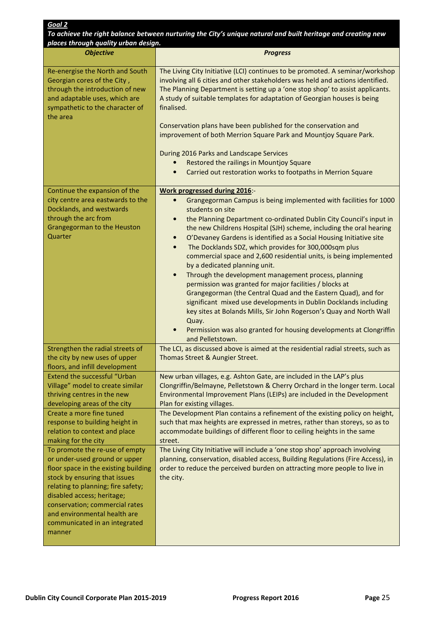| To achieve the right balance between nurturing the City's unique natural and built heritage and creating new<br>places through quality urban design.                                                                                                                                                                      |                                                                                                                                                                                                                                                                                                                                                                                                                                                                                                                                                                                                                                                                                                                                                                                                                                                                                                                                                                                             |
|---------------------------------------------------------------------------------------------------------------------------------------------------------------------------------------------------------------------------------------------------------------------------------------------------------------------------|---------------------------------------------------------------------------------------------------------------------------------------------------------------------------------------------------------------------------------------------------------------------------------------------------------------------------------------------------------------------------------------------------------------------------------------------------------------------------------------------------------------------------------------------------------------------------------------------------------------------------------------------------------------------------------------------------------------------------------------------------------------------------------------------------------------------------------------------------------------------------------------------------------------------------------------------------------------------------------------------|
| <b>Objective</b>                                                                                                                                                                                                                                                                                                          | <b>Progress</b>                                                                                                                                                                                                                                                                                                                                                                                                                                                                                                                                                                                                                                                                                                                                                                                                                                                                                                                                                                             |
| Re-energise the North and South<br>Georgian cores of the City,<br>through the introduction of new<br>and adaptable uses, which are<br>sympathetic to the character of<br>the area                                                                                                                                         | The Living City Initiative (LCI) continues to be promoted. A seminar/workshop<br>involving all 6 cities and other stakeholders was held and actions identified.<br>The Planning Department is setting up a 'one stop shop' to assist applicants.<br>A study of suitable templates for adaptation of Georgian houses is being<br>finalised.<br>Conservation plans have been published for the conservation and<br>improvement of both Merrion Square Park and Mountjoy Square Park.<br>During 2016 Parks and Landscape Services<br>Restored the railings in Mountjoy Square<br>Carried out restoration works to footpaths in Merrion Square<br>$\bullet$                                                                                                                                                                                                                                                                                                                                     |
| Continue the expansion of the                                                                                                                                                                                                                                                                                             | Work progressed during 2016:-                                                                                                                                                                                                                                                                                                                                                                                                                                                                                                                                                                                                                                                                                                                                                                                                                                                                                                                                                               |
| city centre area eastwards to the<br>Docklands, and westwards<br>through the arc from<br>Grangegorman to the Heuston<br>Quarter                                                                                                                                                                                           | Grangegorman Campus is being implemented with facilities for 1000<br>$\bullet$<br>students on site<br>the Planning Department co-ordinated Dublin City Council's input in<br>$\bullet$<br>the new Childrens Hospital (SJH) scheme, including the oral hearing<br>O'Devaney Gardens is identified as a Social Housing Initiative site<br>$\bullet$<br>The Docklands SDZ, which provides for 300,000sqm plus<br>$\bullet$<br>commercial space and 2,600 residential units, is being implemented<br>by a dedicated planning unit.<br>Through the development management process, planning<br>$\bullet$<br>permission was granted for major facilities / blocks at<br>Grangegorman (the Central Quad and the Eastern Quad), and for<br>significant mixed use developments in Dublin Docklands including<br>key sites at Bolands Mills, Sir John Rogerson's Quay and North Wall<br>Quay.<br>Permission was also granted for housing developments at Clongriffin<br>$\bullet$<br>and Pelletstown. |
| Strengthen the radial streets of                                                                                                                                                                                                                                                                                          | The LCI, as discussed above is aimed at the residential radial streets, such as                                                                                                                                                                                                                                                                                                                                                                                                                                                                                                                                                                                                                                                                                                                                                                                                                                                                                                             |
| the city by new uses of upper<br>floors, and infill development                                                                                                                                                                                                                                                           | Thomas Street & Aungier Street.                                                                                                                                                                                                                                                                                                                                                                                                                                                                                                                                                                                                                                                                                                                                                                                                                                                                                                                                                             |
| <b>Extend the successful "Urban</b><br>Village" model to create similar<br>thriving centres in the new<br>developing areas of the city<br>Create a more fine tuned<br>response to building height in<br>relation to context and place<br>making for the city                                                              | New urban villages, e.g. Ashton Gate, are included in the LAP's plus<br>Clongriffin/Belmayne, Pelletstown & Cherry Orchard in the longer term. Local<br>Environmental Improvement Plans (LEIPs) are included in the Development<br>Plan for existing villages.<br>The Development Plan contains a refinement of the existing policy on height,<br>such that max heights are expressed in metres, rather than storeys, so as to<br>accommodate buildings of different floor to ceiling heights in the same<br>street.                                                                                                                                                                                                                                                                                                                                                                                                                                                                        |
| To promote the re-use of empty<br>or under-used ground or upper<br>floor space in the existing building<br>stock by ensuring that issues<br>relating to planning; fire safety;<br>disabled access; heritage;<br>conservation; commercial rates<br>and environmental health are<br>communicated in an integrated<br>manner | The Living City Initiative will include a 'one stop shop' approach involving<br>planning, conservation, disabled access, Building Regulations (Fire Access), in<br>order to reduce the perceived burden on attracting more people to live in<br>the city.                                                                                                                                                                                                                                                                                                                                                                                                                                                                                                                                                                                                                                                                                                                                   |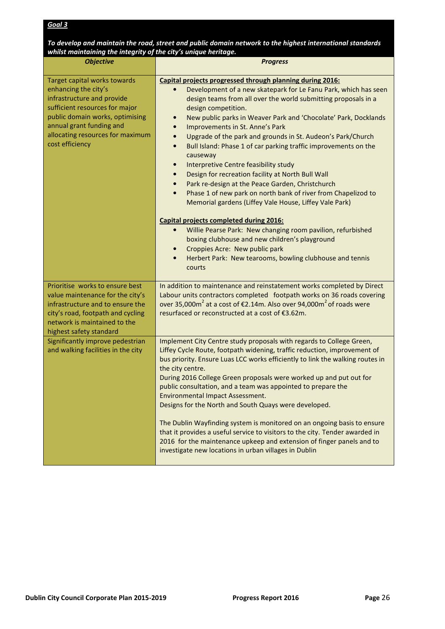| To develop and maintain the road, street and public domain network to the highest international standards |
|-----------------------------------------------------------------------------------------------------------|
| whilst maintaining the integrity of the city's unique heritage.                                           |

| <b>Objective</b>                                                  | <b>Progress</b>                                                                                                                      |
|-------------------------------------------------------------------|--------------------------------------------------------------------------------------------------------------------------------------|
| Target capital works towards                                      | Capital projects progressed through planning during 2016:                                                                            |
| enhancing the city's                                              | Development of a new skatepark for Le Fanu Park, which has seen<br>$\bullet$                                                         |
| infrastructure and provide                                        | design teams from all over the world submitting proposals in a                                                                       |
| sufficient resources for major<br>public domain works, optimising | design competition.                                                                                                                  |
| annual grant funding and                                          | New public parks in Weaver Park and 'Chocolate' Park, Docklands<br>$\bullet$<br>Improvements in St. Anne's Park<br>$\bullet$         |
| allocating resources for maximum                                  | Upgrade of the park and grounds in St. Audeon's Park/Church<br>$\bullet$                                                             |
| cost efficiency                                                   | Bull Island: Phase 1 of car parking traffic improvements on the<br>$\bullet$                                                         |
|                                                                   | causeway                                                                                                                             |
|                                                                   | Interpretive Centre feasibility study<br>$\bullet$                                                                                   |
|                                                                   | Design for recreation facility at North Bull Wall<br>$\bullet$                                                                       |
|                                                                   | Park re-design at the Peace Garden, Christchurch<br>$\bullet$                                                                        |
|                                                                   | Phase 1 of new park on north bank of river from Chapelizod to<br>$\bullet$<br>Memorial gardens (Liffey Vale House, Liffey Vale Park) |
|                                                                   | Capital projects completed during 2016:                                                                                              |
|                                                                   | Willie Pearse Park: New changing room pavilion, refurbished<br>$\bullet$                                                             |
|                                                                   | boxing clubhouse and new children's playground                                                                                       |
|                                                                   | Croppies Acre: New public park<br>$\bullet$                                                                                          |
|                                                                   | Herbert Park: New tearooms, bowling clubhouse and tennis<br>$\bullet$<br>courts                                                      |
| Prioritise works to ensure best                                   | In addition to maintenance and reinstatement works completed by Direct                                                               |
| value maintenance for the city's                                  | Labour units contractors completed footpath works on 36 roads covering                                                               |
| infrastructure and to ensure the                                  | over 35,000 $m^2$ at a cost of €2.14m. Also over 94,000 $m^2$ of roads were                                                          |
| city's road, footpath and cycling<br>network is maintained to the | resurfaced or reconstructed at a cost of €3.62m.                                                                                     |
| highest safety standard                                           |                                                                                                                                      |
| Significantly improve pedestrian                                  | Implement City Centre study proposals with regards to College Green,                                                                 |
| and walking facilities in the city                                | Liffey Cycle Route, footpath widening, traffic reduction, improvement of                                                             |
|                                                                   | bus priority. Ensure Luas LCC works efficiently to link the walking routes in                                                        |
|                                                                   | the city centre.                                                                                                                     |
|                                                                   | During 2016 College Green proposals were worked up and put out for                                                                   |
|                                                                   | public consultation, and a team was appointed to prepare the<br>Environmental Impact Assessment.                                     |
|                                                                   | Designs for the North and South Quays were developed.                                                                                |
|                                                                   |                                                                                                                                      |
|                                                                   | The Dublin Wayfinding system is monitored on an ongoing basis to ensure                                                              |
|                                                                   | that it provides a useful service to visitors to the city. Tender awarded in                                                         |
|                                                                   | 2016 for the maintenance upkeep and extension of finger panels and to                                                                |
|                                                                   | investigate new locations in urban villages in Dublin                                                                                |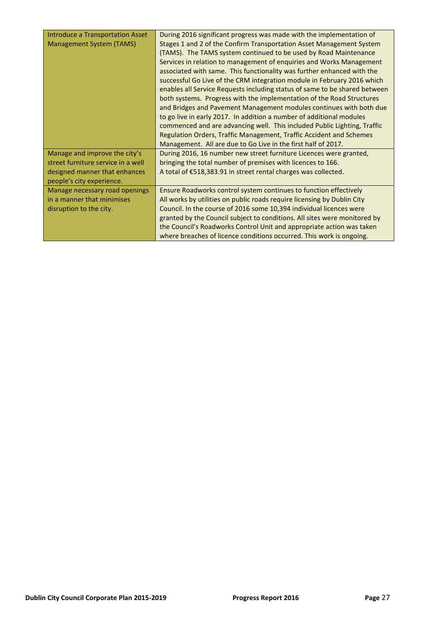| Introduce a Transportation Asset   | During 2016 significant progress was made with the implementation of       |
|------------------------------------|----------------------------------------------------------------------------|
| Management System (TAMS)           | Stages 1 and 2 of the Confirm Transportation Asset Management System       |
|                                    | (TAMS). The TAMS system continued to be used by Road Maintenance           |
|                                    | Services in relation to management of enquiries and Works Management       |
|                                    | associated with same. This functionality was further enhanced with the     |
|                                    | successful Go Live of the CRM integration module in February 2016 which    |
|                                    | enables all Service Requests including status of same to be shared between |
|                                    | both systems. Progress with the implementation of the Road Structures      |
|                                    | and Bridges and Pavement Management modules continues with both due        |
|                                    | to go live in early 2017. In addition a number of additional modules       |
|                                    | commenced and are advancing well. This included Public Lighting, Traffic   |
|                                    | Regulation Orders, Traffic Management, Traffic Accident and Schemes        |
|                                    | Management. All are due to Go Live in the first half of 2017.              |
| Manage and improve the city's      | During 2016, 16 number new street furniture Licences were granted,         |
| street furniture service in a well | bringing the total number of premises with licences to 166.                |
| designed manner that enhances      | A total of €518,383.91 in street rental charges was collected.             |
| people's city experience.          |                                                                            |
| Manage necessary road openings     | Ensure Roadworks control system continues to function effectively          |
| in a manner that minimises         | All works by utilities on public roads require licensing by Dublin City    |
| disruption to the city.            | Council. In the course of 2016 some 10,394 individual licences were        |
|                                    | granted by the Council subject to conditions. All sites were monitored by  |
|                                    | the Council's Roadworks Control Unit and appropriate action was taken      |
|                                    | where breaches of licence conditions occurred. This work is ongoing.       |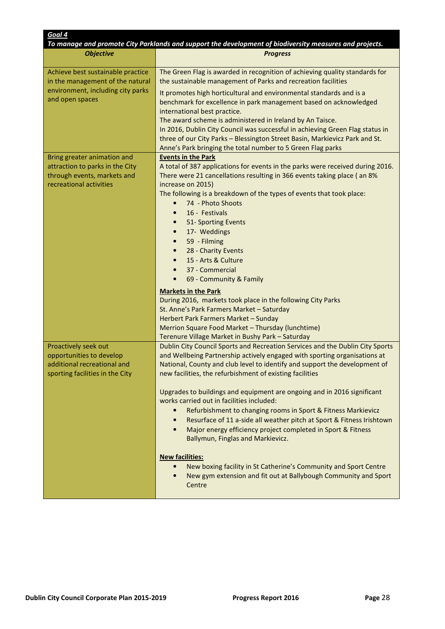| Goal 4                                                                                                             | To manage and promote City Parklands and support the development of biodiversity measures and projects.                                                                                                                                                                                              |
|--------------------------------------------------------------------------------------------------------------------|------------------------------------------------------------------------------------------------------------------------------------------------------------------------------------------------------------------------------------------------------------------------------------------------------|
| <b>Objective</b>                                                                                                   | <b>Progress</b>                                                                                                                                                                                                                                                                                      |
|                                                                                                                    |                                                                                                                                                                                                                                                                                                      |
| Achieve best sustainable practice<br>in the management of the natural                                              | The Green Flag is awarded in recognition of achieving quality standards for<br>the sustainable management of Parks and recreation facilities                                                                                                                                                         |
| environment, including city parks<br>and open spaces                                                               | It promotes high horticultural and environmental standards and is a<br>benchmark for excellence in park management based on acknowledged<br>international best practice.<br>The award scheme is administered in Ireland by An Taisce.                                                                |
|                                                                                                                    | In 2016, Dublin City Council was successful in achieving Green Flag status in<br>three of our City Parks - Blessington Street Basin, Markievicz Park and St.<br>Anne's Park bringing the total number to 5 Green Flag parks                                                                          |
| Bring greater animation and<br>attraction to parks in the City<br>through events, markets and                      | <b>Events in the Park</b><br>A total of 387 applications for events in the parks were received during 2016.<br>There were 21 cancellations resulting in 366 events taking place (an 8%                                                                                                               |
| recreational activities                                                                                            | increase on 2015)                                                                                                                                                                                                                                                                                    |
|                                                                                                                    | The following is a breakdown of the types of events that took place:<br>74 - Photo Shoots<br>$\bullet$                                                                                                                                                                                               |
|                                                                                                                    | 16 - Festivals                                                                                                                                                                                                                                                                                       |
|                                                                                                                    | 51- Sporting Events<br>$\bullet$                                                                                                                                                                                                                                                                     |
|                                                                                                                    | 17- Weddings<br>$\bullet$                                                                                                                                                                                                                                                                            |
|                                                                                                                    | 59 - Filming<br>$\bullet$                                                                                                                                                                                                                                                                            |
|                                                                                                                    | 28 - Charity Events                                                                                                                                                                                                                                                                                  |
|                                                                                                                    | 15 - Arts & Culture                                                                                                                                                                                                                                                                                  |
|                                                                                                                    | 37 - Commercial<br>69 - Community & Family                                                                                                                                                                                                                                                           |
|                                                                                                                    |                                                                                                                                                                                                                                                                                                      |
|                                                                                                                    | <b>Markets in the Park</b>                                                                                                                                                                                                                                                                           |
|                                                                                                                    | During 2016, markets took place in the following City Parks<br>St. Anne's Park Farmers Market - Saturday                                                                                                                                                                                             |
|                                                                                                                    | Herbert Park Farmers Market - Sunday                                                                                                                                                                                                                                                                 |
|                                                                                                                    | Merrion Square Food Market - Thursday (lunchtime)                                                                                                                                                                                                                                                    |
|                                                                                                                    | Terenure Village Market in Bushy Park - Saturday                                                                                                                                                                                                                                                     |
| Proactively seek out<br>opportunities to develop<br>additional recreational and<br>sporting facilities in the City | Dublin City Council Sports and Recreation Services and the Dublin City Sports<br>and Wellbeing Partnership actively engaged with sporting organisations at<br>National, County and club level to identify and support the development of<br>new facilities, the refurbishment of existing facilities |
|                                                                                                                    | Upgrades to buildings and equipment are ongoing and in 2016 significant<br>works carried out in facilities included:                                                                                                                                                                                 |
|                                                                                                                    | Refurbishment to changing rooms in Sport & Fitness Markievicz<br>$\bullet$                                                                                                                                                                                                                           |
|                                                                                                                    | Resurface of 11 a-side all weather pitch at Sport & Fitness Irishtown<br>$\bullet$<br>Major energy efficiency project completed in Sport & Fitness<br>$\bullet$<br>Ballymun, Finglas and Markievicz.                                                                                                 |
|                                                                                                                    | <b>New facilities:</b><br>New boxing facility in St Catherine's Community and Sport Centre<br>$\bullet$<br>New gym extension and fit out at Ballybough Community and Sport<br>Centre                                                                                                                 |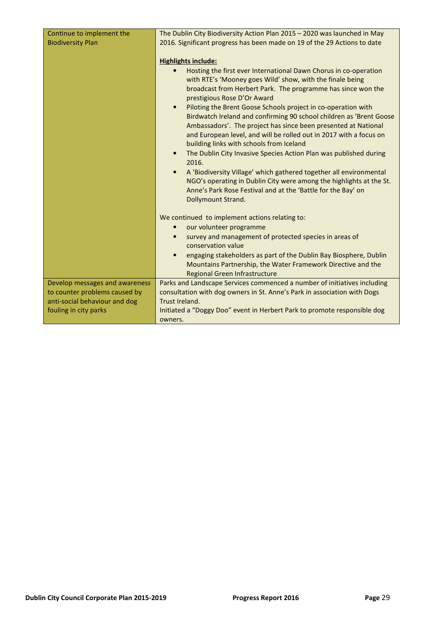| Continue to implement the      | The Dublin City Biodiversity Action Plan 2015 - 2020 was launched in May                                                                                                                                                                                                                                                                                                                                                                                                                                                                                                                                                                                                                                                                                                                                                                                 |
|--------------------------------|----------------------------------------------------------------------------------------------------------------------------------------------------------------------------------------------------------------------------------------------------------------------------------------------------------------------------------------------------------------------------------------------------------------------------------------------------------------------------------------------------------------------------------------------------------------------------------------------------------------------------------------------------------------------------------------------------------------------------------------------------------------------------------------------------------------------------------------------------------|
| <b>Biodiversity Plan</b>       | 2016. Significant progress has been made on 19 of the 29 Actions to date                                                                                                                                                                                                                                                                                                                                                                                                                                                                                                                                                                                                                                                                                                                                                                                 |
|                                | <b>Highlights include:</b><br>Hosting the first ever International Dawn Chorus in co-operation<br>$\bullet$<br>with RTE's 'Mooney goes Wild' show, with the finale being<br>broadcast from Herbert Park. The programme has since won the<br>prestigious Rose D'Or Award<br>Piloting the Brent Goose Schools project in co-operation with<br>$\bullet$<br>Birdwatch Ireland and confirming 90 school children as 'Brent Goose<br>Ambassadors'. The project has since been presented at National<br>and European level, and will be rolled out in 2017 with a focus on<br>building links with schools from Iceland<br>The Dublin City Invasive Species Action Plan was published during<br>$\bullet$<br>2016.<br>A 'Biodiversity Village' which gathered together all environmental<br>NGO's operating in Dublin City were among the highlights at the St. |
|                                | Anne's Park Rose Festival and at the 'Battle for the Bay' on                                                                                                                                                                                                                                                                                                                                                                                                                                                                                                                                                                                                                                                                                                                                                                                             |
|                                | Dollymount Strand.                                                                                                                                                                                                                                                                                                                                                                                                                                                                                                                                                                                                                                                                                                                                                                                                                                       |
|                                | We continued to implement actions relating to:                                                                                                                                                                                                                                                                                                                                                                                                                                                                                                                                                                                                                                                                                                                                                                                                           |
|                                | our volunteer programme                                                                                                                                                                                                                                                                                                                                                                                                                                                                                                                                                                                                                                                                                                                                                                                                                                  |
|                                | survey and management of protected species in areas of<br>$\bullet$<br>conservation value                                                                                                                                                                                                                                                                                                                                                                                                                                                                                                                                                                                                                                                                                                                                                                |
|                                | engaging stakeholders as part of the Dublin Bay Biosphere, Dublin<br>$\bullet$                                                                                                                                                                                                                                                                                                                                                                                                                                                                                                                                                                                                                                                                                                                                                                           |
|                                | Mountains Partnership, the Water Framework Directive and the<br>Regional Green Infrastructure                                                                                                                                                                                                                                                                                                                                                                                                                                                                                                                                                                                                                                                                                                                                                            |
| Develop messages and awareness | Parks and Landscape Services commenced a number of initiatives including                                                                                                                                                                                                                                                                                                                                                                                                                                                                                                                                                                                                                                                                                                                                                                                 |
| to counter problems caused by  | consultation with dog owners in St. Anne's Park in association with Dogs                                                                                                                                                                                                                                                                                                                                                                                                                                                                                                                                                                                                                                                                                                                                                                                 |
| anti-social behaviour and dog  | Trust Ireland.                                                                                                                                                                                                                                                                                                                                                                                                                                                                                                                                                                                                                                                                                                                                                                                                                                           |
| fouling in city parks          | Initiated a "Doggy Doo" event in Herbert Park to promote responsible dog                                                                                                                                                                                                                                                                                                                                                                                                                                                                                                                                                                                                                                                                                                                                                                                 |
|                                | owners.                                                                                                                                                                                                                                                                                                                                                                                                                                                                                                                                                                                                                                                                                                                                                                                                                                                  |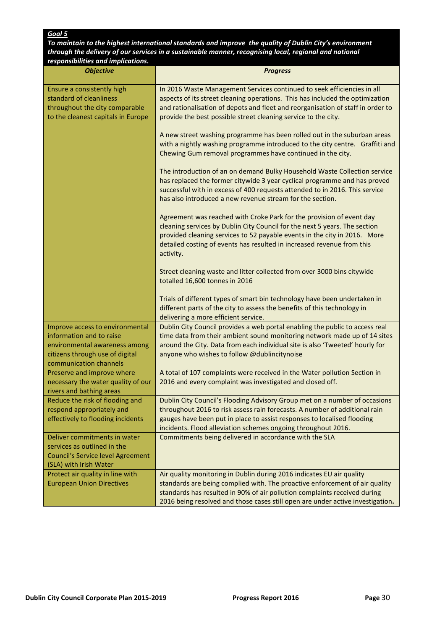To maintain to the highest international standards and improve the quality of Dublin City's environment through the delivery of our services in a sustainable manner, recognising local, regional and national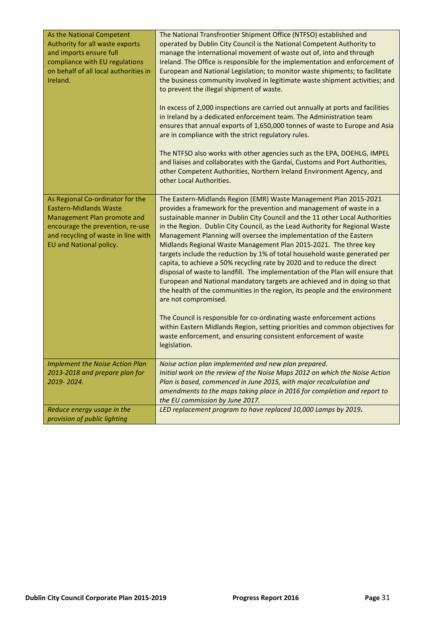| As the National Competent<br>Authority for all waste exports<br>and imports ensure full<br>compliance with EU regulations<br>on behalf of all local authorities in<br>Ireland.                         | The National Transfrontier Shipment Office (NTFSO) established and<br>operated by Dublin City Council is the National Competent Authority to<br>manage the international movement of waste out of, into and through<br>Ireland. The Office is responsible for the implementation and enforcement of<br>European and National Legislation; to monitor waste shipments; to facilitate<br>the business community involved in legitimate waste shipment activities; and<br>to prevent the illegal shipment of waste.<br>In excess of 2,000 inspections are carried out annually at ports and facilities<br>in Ireland by a dedicated enforcement team. The Administration team<br>ensures that annual exports of 1,650,000 tonnes of waste to Europe and Asia<br>are in compliance with the strict regulatory rules.<br>The NTFSO also works with other agencies such as the EPA, DOEHLG, IMPEL<br>and liaises and collaborates with the Gardai, Customs and Port Authorities,<br>other Competent Authorities, Northern Ireland Environment Agency, and<br>other Local Authorities.                                                  |
|--------------------------------------------------------------------------------------------------------------------------------------------------------------------------------------------------------|----------------------------------------------------------------------------------------------------------------------------------------------------------------------------------------------------------------------------------------------------------------------------------------------------------------------------------------------------------------------------------------------------------------------------------------------------------------------------------------------------------------------------------------------------------------------------------------------------------------------------------------------------------------------------------------------------------------------------------------------------------------------------------------------------------------------------------------------------------------------------------------------------------------------------------------------------------------------------------------------------------------------------------------------------------------------------------------------------------------------------------|
| As Regional Co-ordinator for the<br><b>Eastern-Midlands Waste</b><br>Management Plan promote and<br>encourage the prevention, re-use<br>and recycling of waste in line with<br>EU and National policy. | The Eastern-Midlands Region (EMR) Waste Management Plan 2015-2021<br>provides a framework for the prevention and management of waste in a<br>sustainable manner in Dublin City Council and the 11 other Local Authorities<br>in the Region. Dublin City Council, as the Lead Authority for Regional Waste<br>Management Planning will oversee the implementation of the Eastern<br>Midlands Regional Waste Management Plan 2015-2021. The three key<br>targets include the reduction by 1% of total household waste generated per<br>capita, to achieve a 50% recycling rate by 2020 and to reduce the direct<br>disposal of waste to landfill. The implementation of the Plan will ensure that<br>European and National mandatory targets are achieved and in doing so that<br>the health of the communities in the region, its people and the environment<br>are not compromised.<br>The Council is responsible for co-ordinating waste enforcement actions<br>within Eastern Midlands Region, setting priorities and common objectives for<br>waste enforcement, and ensuring consistent enforcement of waste<br>legislation. |
| <b>Implement the Noise Action Plan</b><br>2013-2018 and prepare plan for<br>2019-2024.                                                                                                                 | Noise action plan implemented and new plan prepared.<br>Initial work on the review of the Noise Maps 2012 on which the Noise Action<br>Plan is based, commenced in June 2015, with major recalculation and<br>amendments to the maps taking place in 2016 for completion and report to<br>the EU commission by June 2017.                                                                                                                                                                                                                                                                                                                                                                                                                                                                                                                                                                                                                                                                                                                                                                                                        |
| Reduce energy usage in the<br>provision of public lighting                                                                                                                                             | LED replacement program to have replaced 10,000 Lamps by 2019.                                                                                                                                                                                                                                                                                                                                                                                                                                                                                                                                                                                                                                                                                                                                                                                                                                                                                                                                                                                                                                                                   |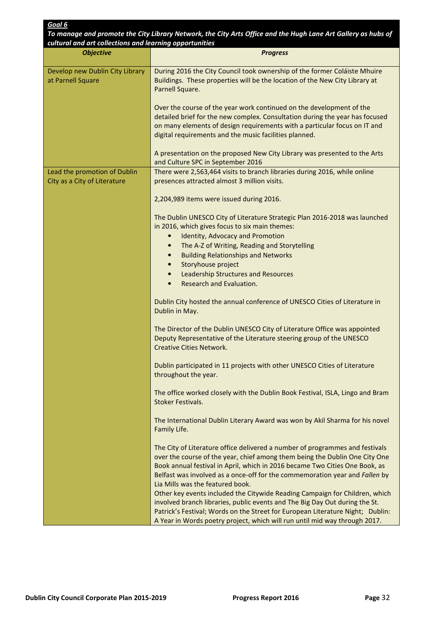| To manage and promote the City Library Network, the City Arts Office and the Hugh Lane Art Gallery as hubs of<br>cultural and art collections and learning opportunities |                                                                                                                                                                                                                                                                                                                                                                                                                                                                                                                             |  |  |
|--------------------------------------------------------------------------------------------------------------------------------------------------------------------------|-----------------------------------------------------------------------------------------------------------------------------------------------------------------------------------------------------------------------------------------------------------------------------------------------------------------------------------------------------------------------------------------------------------------------------------------------------------------------------------------------------------------------------|--|--|
| <b>Objective</b>                                                                                                                                                         | <b>Progress</b>                                                                                                                                                                                                                                                                                                                                                                                                                                                                                                             |  |  |
| Develop new Dublin City Library<br>at Parnell Square                                                                                                                     | During 2016 the City Council took ownership of the former Coláiste Mhuire<br>Buildings. These properties will be the location of the New City Library at<br>Parnell Square.                                                                                                                                                                                                                                                                                                                                                 |  |  |
|                                                                                                                                                                          | Over the course of the year work continued on the development of the<br>detailed brief for the new complex. Consultation during the year has focused<br>on many elements of design requirements with a particular focus on IT and<br>digital requirements and the music facilities planned.                                                                                                                                                                                                                                 |  |  |
|                                                                                                                                                                          | A presentation on the proposed New City Library was presented to the Arts<br>and Culture SPC in September 2016                                                                                                                                                                                                                                                                                                                                                                                                              |  |  |
| Lead the promotion of Dublin<br>City as a City of Literature                                                                                                             | There were 2,563,464 visits to branch libraries during 2016, while online<br>presences attracted almost 3 million visits.                                                                                                                                                                                                                                                                                                                                                                                                   |  |  |
|                                                                                                                                                                          | 2,204,989 items were issued during 2016.                                                                                                                                                                                                                                                                                                                                                                                                                                                                                    |  |  |
|                                                                                                                                                                          | The Dublin UNESCO City of Literature Strategic Plan 2016-2018 was launched<br>in 2016, which gives focus to six main themes:                                                                                                                                                                                                                                                                                                                                                                                                |  |  |
|                                                                                                                                                                          | <b>Identity, Advocacy and Promotion</b><br>$\bullet$<br>The A-Z of Writing, Reading and Storytelling<br>$\bullet$                                                                                                                                                                                                                                                                                                                                                                                                           |  |  |
|                                                                                                                                                                          | <b>Building Relationships and Networks</b>                                                                                                                                                                                                                                                                                                                                                                                                                                                                                  |  |  |
|                                                                                                                                                                          | Storyhouse project                                                                                                                                                                                                                                                                                                                                                                                                                                                                                                          |  |  |
|                                                                                                                                                                          | <b>Leadership Structures and Resources</b><br>$\bullet$<br>Research and Evaluation.<br>$\bullet$                                                                                                                                                                                                                                                                                                                                                                                                                            |  |  |
|                                                                                                                                                                          | Dublin City hosted the annual conference of UNESCO Cities of Literature in<br>Dublin in May.                                                                                                                                                                                                                                                                                                                                                                                                                                |  |  |
|                                                                                                                                                                          | The Director of the Dublin UNESCO City of Literature Office was appointed<br>Deputy Representative of the Literature steering group of the UNESCO<br><b>Creative Cities Network.</b>                                                                                                                                                                                                                                                                                                                                        |  |  |
|                                                                                                                                                                          | Dublin participated in 11 projects with other UNESCO Cities of Literature<br>throughout the year.                                                                                                                                                                                                                                                                                                                                                                                                                           |  |  |
|                                                                                                                                                                          | The office worked closely with the Dublin Book Festival, ISLA, Lingo and Bram<br><b>Stoker Festivals.</b>                                                                                                                                                                                                                                                                                                                                                                                                                   |  |  |
|                                                                                                                                                                          | The International Dublin Literary Award was won by Akil Sharma for his novel<br>Family Life.                                                                                                                                                                                                                                                                                                                                                                                                                                |  |  |
|                                                                                                                                                                          | The City of Literature office delivered a number of programmes and festivals<br>over the course of the year, chief among them being the Dublin One City One<br>Book annual festival in April, which in 2016 became Two Cities One Book, as<br>Belfast was involved as a once-off for the commemoration year and Fallen by<br>Lia Mills was the featured book.<br>Other key events included the Citywide Reading Campaign for Children, which<br>involved branch libraries, public events and The Big Day Out during the St. |  |  |
|                                                                                                                                                                          | Patrick's Festival; Words on the Street for European Literature Night; Dublin:<br>A Year in Words poetry project, which will run until mid way through 2017.                                                                                                                                                                                                                                                                                                                                                                |  |  |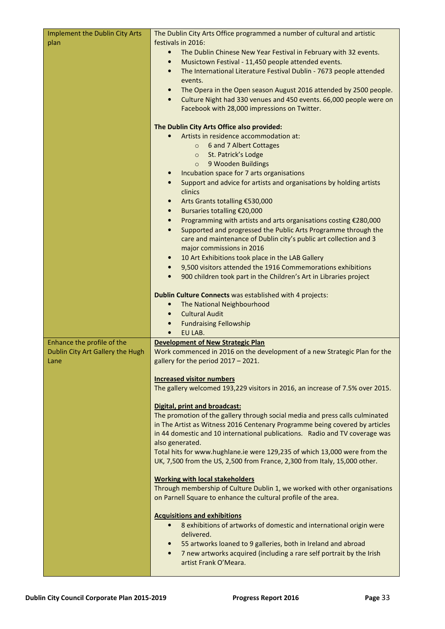| Implement the Dublin City Arts           | The Dublin City Arts Office programmed a number of cultural and artistic                                                                                    |
|------------------------------------------|-------------------------------------------------------------------------------------------------------------------------------------------------------------|
| plan                                     | festivals in 2016:                                                                                                                                          |
|                                          | The Dublin Chinese New Year Festival in February with 32 events.<br>$\bullet$                                                                               |
|                                          | Musictown Festival - 11,450 people attended events.<br>$\bullet$                                                                                            |
|                                          | The International Literature Festival Dublin - 7673 people attended<br>$\bullet$<br>events.                                                                 |
|                                          | The Opera in the Open season August 2016 attended by 2500 people.<br>$\bullet$                                                                              |
|                                          | Culture Night had 330 venues and 450 events. 66,000 people were on<br>$\bullet$                                                                             |
|                                          | Facebook with 28,000 impressions on Twitter.                                                                                                                |
|                                          |                                                                                                                                                             |
|                                          | The Dublin City Arts Office also provided:                                                                                                                  |
|                                          | Artists in residence accommodation at:                                                                                                                      |
|                                          | 6 and 7 Albert Cottages<br>$\circ$                                                                                                                          |
|                                          | St. Patrick's Lodge<br>$\circ$<br>9 Wooden Buildings                                                                                                        |
|                                          | $\circ$<br>Incubation space for 7 arts organisations<br>$\bullet$                                                                                           |
|                                          | Support and advice for artists and organisations by holding artists<br>$\bullet$                                                                            |
|                                          | clinics                                                                                                                                                     |
|                                          | Arts Grants totalling €530,000<br>$\bullet$                                                                                                                 |
|                                          | Bursaries totalling €20,000<br>$\bullet$                                                                                                                    |
|                                          | Programming with artists and arts organisations costing €280,000<br>$\bullet$                                                                               |
|                                          | Supported and progressed the Public Arts Programme through the<br>$\bullet$                                                                                 |
|                                          | care and maintenance of Dublin city's public art collection and 3                                                                                           |
|                                          | major commissions in 2016                                                                                                                                   |
|                                          | 10 Art Exhibitions took place in the LAB Gallery<br>$\bullet$<br>9,500 visitors attended the 1916 Commemorations exhibitions<br>$\bullet$                   |
|                                          | 900 children took part in the Children's Art in Libraries project<br>$\bullet$                                                                              |
|                                          |                                                                                                                                                             |
|                                          | Dublin Culture Connects was established with 4 projects:                                                                                                    |
|                                          | The National Neighbourhood<br>$\bullet$                                                                                                                     |
|                                          | <b>Cultural Audit</b><br>$\bullet$                                                                                                                          |
|                                          | <b>Fundraising Fellowship</b><br>$\bullet$                                                                                                                  |
|                                          | EU LAB.                                                                                                                                                     |
| Enhance the profile of the               | <b>Development of New Strategic Plan</b>                                                                                                                    |
| Dublin City Art Gallery the Hugh<br>Lane | Work commenced in 2016 on the development of a new Strategic Plan for the<br>gallery for the period 2017 - 2021.                                            |
|                                          |                                                                                                                                                             |
|                                          | <b>Increased visitor numbers</b>                                                                                                                            |
|                                          | The gallery welcomed 193,229 visitors in 2016, an increase of 7.5% over 2015.                                                                               |
|                                          |                                                                                                                                                             |
|                                          | Digital, print and broadcast:                                                                                                                               |
|                                          | The promotion of the gallery through social media and press calls culminated<br>in The Artist as Witness 2016 Centenary Programme being covered by articles |
|                                          | in 44 domestic and 10 international publications. Radio and TV coverage was                                                                                 |
|                                          | also generated.                                                                                                                                             |
|                                          | Total hits for www.hughlane.ie were 129,235 of which 13,000 were from the                                                                                   |
|                                          | UK, 7,500 from the US, 2,500 from France, 2,300 from Italy, 15,000 other.                                                                                   |
|                                          |                                                                                                                                                             |
|                                          | <b>Working with local stakeholders</b>                                                                                                                      |
|                                          | Through membership of Culture Dublin 1, we worked with other organisations<br>on Parnell Square to enhance the cultural profile of the area.                |
|                                          |                                                                                                                                                             |
|                                          | <b>Acquisitions and exhibitions</b>                                                                                                                         |
|                                          | 8 exhibitions of artworks of domestic and international origin were<br>$\bullet$                                                                            |
|                                          | delivered.                                                                                                                                                  |
|                                          | 55 artworks loaned to 9 galleries, both in Ireland and abroad<br>$\bullet$                                                                                  |
|                                          | 7 new artworks acquired (including a rare self portrait by the Irish<br>$\bullet$                                                                           |
|                                          | artist Frank O'Meara.                                                                                                                                       |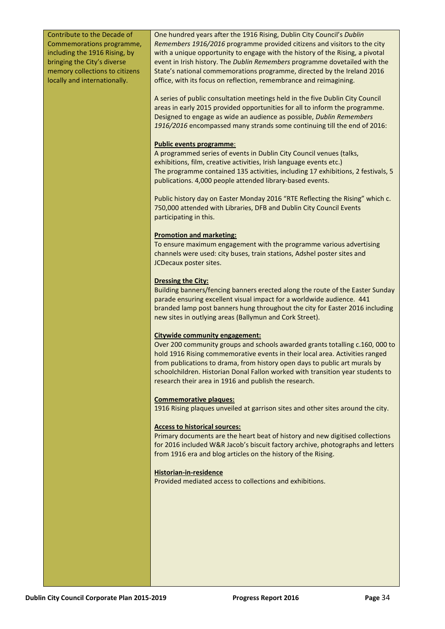| Contribute to the Decade of<br>Commemorations programme,<br>including the 1916 Rising, by<br>bringing the City's diverse<br>memory collections to citizens<br>locally and internationally. | One hundred years after the 1916 Rising, Dublin City Council's Dublin<br>Remembers 1916/2016 programme provided citizens and visitors to the city<br>with a unique opportunity to engage with the history of the Rising, a pivotal<br>event in Irish history. The Dublin Remembers programme dovetailed with the<br>State's national commemorations programme, directed by the Ireland 2016<br>office, with its focus on reflection, remembrance and reimagining. |
|--------------------------------------------------------------------------------------------------------------------------------------------------------------------------------------------|-------------------------------------------------------------------------------------------------------------------------------------------------------------------------------------------------------------------------------------------------------------------------------------------------------------------------------------------------------------------------------------------------------------------------------------------------------------------|
|                                                                                                                                                                                            | A series of public consultation meetings held in the five Dublin City Council<br>areas in early 2015 provided opportunities for all to inform the programme.<br>Designed to engage as wide an audience as possible, Dublin Remembers<br>1916/2016 encompassed many strands some continuing till the end of 2016:                                                                                                                                                  |
|                                                                                                                                                                                            | <b>Public events programme:</b><br>A programmed series of events in Dublin City Council venues (talks,<br>exhibitions, film, creative activities, Irish language events etc.)<br>The programme contained 135 activities, including 17 exhibitions, 2 festivals, 5<br>publications. 4,000 people attended library-based events.                                                                                                                                    |
|                                                                                                                                                                                            | Public history day on Easter Monday 2016 "RTE Reflecting the Rising" which c.<br>750,000 attended with Libraries, DFB and Dublin City Council Events<br>participating in this.                                                                                                                                                                                                                                                                                    |
|                                                                                                                                                                                            | <b>Promotion and marketing:</b><br>To ensure maximum engagement with the programme various advertising<br>channels were used: city buses, train stations, Adshel poster sites and<br>JCDecaux poster sites.                                                                                                                                                                                                                                                       |
|                                                                                                                                                                                            | <b>Dressing the City:</b><br>Building banners/fencing banners erected along the route of the Easter Sunday<br>parade ensuring excellent visual impact for a worldwide audience. 441<br>branded lamp post banners hung throughout the city for Easter 2016 including<br>new sites in outlying areas (Ballymun and Cork Street).                                                                                                                                    |
|                                                                                                                                                                                            | <b>Citywide community engagement:</b><br>Over 200 community groups and schools awarded grants totalling c.160, 000 to<br>hold 1916 Rising commemorative events in their local area. Activities ranged<br>from publications to drama, from history open days to public art murals by<br>schoolchildren. Historian Donal Fallon worked with transition year students to<br>research their area in 1916 and publish the research.                                    |
|                                                                                                                                                                                            | <b>Commemorative plaques:</b><br>1916 Rising plaques unveiled at garrison sites and other sites around the city.                                                                                                                                                                                                                                                                                                                                                  |
|                                                                                                                                                                                            | <b>Access to historical sources:</b><br>Primary documents are the heart beat of history and new digitised collections<br>for 2016 included W&R Jacob's biscuit factory archive, photographs and letters<br>from 1916 era and blog articles on the history of the Rising.                                                                                                                                                                                          |
|                                                                                                                                                                                            | Historian-in-residence<br>Provided mediated access to collections and exhibitions.                                                                                                                                                                                                                                                                                                                                                                                |
|                                                                                                                                                                                            |                                                                                                                                                                                                                                                                                                                                                                                                                                                                   |
|                                                                                                                                                                                            |                                                                                                                                                                                                                                                                                                                                                                                                                                                                   |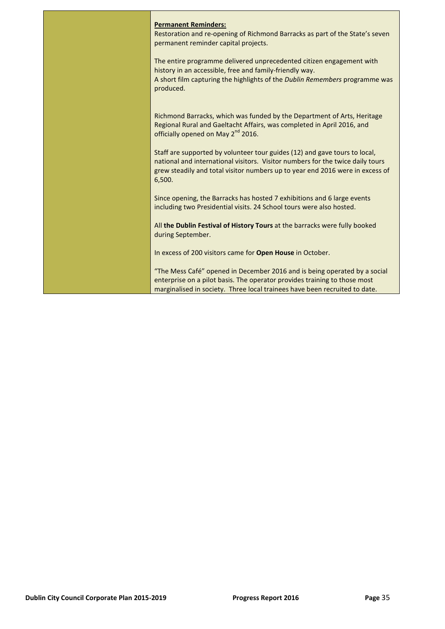| <b>Permanent Reminders:</b>                                                                                                                                                                                                                             |
|---------------------------------------------------------------------------------------------------------------------------------------------------------------------------------------------------------------------------------------------------------|
| Restoration and re-opening of Richmond Barracks as part of the State's seven<br>permanent reminder capital projects.                                                                                                                                    |
| The entire programme delivered unprecedented citizen engagement with<br>history in an accessible, free and family-friendly way.<br>A short film capturing the highlights of the Dublin Remembers programme was<br>produced.                             |
| Richmond Barracks, which was funded by the Department of Arts, Heritage<br>Regional Rural and Gaeltacht Affairs, was completed in April 2016, and<br>officially opened on May 2 <sup>nd</sup> 2016.                                                     |
| Staff are supported by volunteer tour guides (12) and gave tours to local,<br>national and international visitors. Visitor numbers for the twice daily tours<br>grew steadily and total visitor numbers up to year end 2016 were in excess of<br>6,500. |
| Since opening, the Barracks has hosted 7 exhibitions and 6 large events<br>including two Presidential visits. 24 School tours were also hosted.                                                                                                         |
| All the Dublin Festival of History Tours at the barracks were fully booked<br>during September.                                                                                                                                                         |
| In excess of 200 visitors came for Open House in October.                                                                                                                                                                                               |
| "The Mess Café" opened in December 2016 and is being operated by a social<br>enterprise on a pilot basis. The operator provides training to those most<br>marginalised in society. Three local trainees have been recruited to date.                    |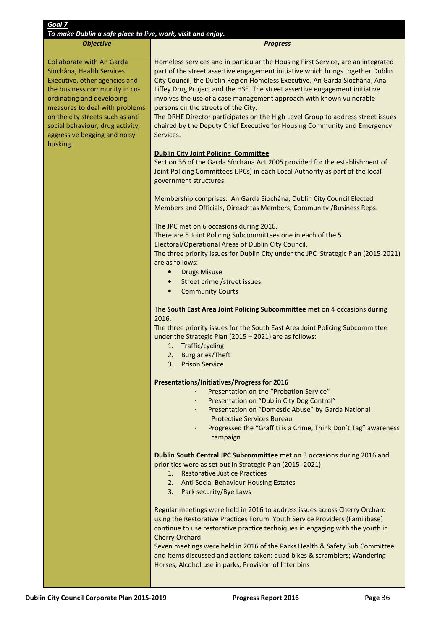| Goal 7                                                                                                                                                                                                                                                                                                             |                                                                                                                                                                                                                                                                                                                                                                                                                                                                                                                                                                                                                              |  |  |  |
|--------------------------------------------------------------------------------------------------------------------------------------------------------------------------------------------------------------------------------------------------------------------------------------------------------------------|------------------------------------------------------------------------------------------------------------------------------------------------------------------------------------------------------------------------------------------------------------------------------------------------------------------------------------------------------------------------------------------------------------------------------------------------------------------------------------------------------------------------------------------------------------------------------------------------------------------------------|--|--|--|
| To make Dublin a safe place to live, work, visit and enjoy.<br><b>Objective</b>                                                                                                                                                                                                                                    |                                                                                                                                                                                                                                                                                                                                                                                                                                                                                                                                                                                                                              |  |  |  |
|                                                                                                                                                                                                                                                                                                                    | <b>Progress</b>                                                                                                                                                                                                                                                                                                                                                                                                                                                                                                                                                                                                              |  |  |  |
| <b>Collaborate with An Garda</b><br>Síochána, Health Services<br>Executive, other agencies and<br>the business community in co-<br>ordinating and developing<br>measures to deal with problems<br>on the city streets such as anti<br>social behaviour, drug activity,<br>aggressive begging and noisy<br>busking. | Homeless services and in particular the Housing First Service, are an integrated<br>part of the street assertive engagement initiative which brings together Dublin<br>City Council, the Dublin Region Homeless Executive, An Garda Síochána, Ana<br>Liffey Drug Project and the HSE. The street assertive engagement initiative<br>involves the use of a case management approach with known vulnerable<br>persons on the streets of the City.<br>The DRHE Director participates on the High Level Group to address street issues<br>chaired by the Deputy Chief Executive for Housing Community and Emergency<br>Services. |  |  |  |
|                                                                                                                                                                                                                                                                                                                    | <b>Dublin City Joint Policing Committee</b>                                                                                                                                                                                                                                                                                                                                                                                                                                                                                                                                                                                  |  |  |  |
|                                                                                                                                                                                                                                                                                                                    | Section 36 of the Garda Síochána Act 2005 provided for the establishment of<br>Joint Policing Committees (JPCs) in each Local Authority as part of the local<br>government structures.                                                                                                                                                                                                                                                                                                                                                                                                                                       |  |  |  |
|                                                                                                                                                                                                                                                                                                                    | Membership comprises: An Garda Síochána, Dublin City Council Elected<br>Members and Officials, Oireachtas Members, Community /Business Reps.                                                                                                                                                                                                                                                                                                                                                                                                                                                                                 |  |  |  |
|                                                                                                                                                                                                                                                                                                                    | The JPC met on 6 occasions during 2016.<br>There are 5 Joint Policing Subcommittees one in each of the 5                                                                                                                                                                                                                                                                                                                                                                                                                                                                                                                     |  |  |  |
|                                                                                                                                                                                                                                                                                                                    | Electoral/Operational Areas of Dublin City Council.<br>The three priority issues for Dublin City under the JPC Strategic Plan (2015-2021)<br>are as follows:                                                                                                                                                                                                                                                                                                                                                                                                                                                                 |  |  |  |
|                                                                                                                                                                                                                                                                                                                    | <b>Drugs Misuse</b>                                                                                                                                                                                                                                                                                                                                                                                                                                                                                                                                                                                                          |  |  |  |
|                                                                                                                                                                                                                                                                                                                    | Street crime / street issues<br>$\bullet$                                                                                                                                                                                                                                                                                                                                                                                                                                                                                                                                                                                    |  |  |  |
|                                                                                                                                                                                                                                                                                                                    | <b>Community Courts</b><br>$\bullet$                                                                                                                                                                                                                                                                                                                                                                                                                                                                                                                                                                                         |  |  |  |
|                                                                                                                                                                                                                                                                                                                    | The South East Area Joint Policing Subcommittee met on 4 occasions during<br>2016.<br>The three priority issues for the South East Area Joint Policing Subcommittee<br>under the Strategic Plan (2015 - 2021) are as follows:<br>1. Traffic/cycling<br>2. Burglaries/Theft<br>3. Prison Service                                                                                                                                                                                                                                                                                                                              |  |  |  |
|                                                                                                                                                                                                                                                                                                                    | <b>Presentations/Initiatives/Progress for 2016</b><br>Presentation on the "Probation Service"<br>Presentation on "Dublin City Dog Control"<br>Presentation on "Domestic Abuse" by Garda National<br><b>Protective Services Bureau</b><br>Progressed the "Graffiti is a Crime, Think Don't Tag" awareness<br>campaign                                                                                                                                                                                                                                                                                                         |  |  |  |
|                                                                                                                                                                                                                                                                                                                    | Dublin South Central JPC Subcommittee met on 3 occasions during 2016 and<br>priorities were as set out in Strategic Plan (2015 -2021):<br><b>Restorative Justice Practices</b><br>1.<br>2. Anti Social Behaviour Housing Estates<br>3. Park security/Bye Laws                                                                                                                                                                                                                                                                                                                                                                |  |  |  |
|                                                                                                                                                                                                                                                                                                                    | Regular meetings were held in 2016 to address issues across Cherry Orchard<br>using the Restorative Practices Forum. Youth Service Providers (Familibase)<br>continue to use restorative practice techniques in engaging with the youth in<br>Cherry Orchard.<br>Seven meetings were held in 2016 of the Parks Health & Safety Sub Committee<br>and items discussed and actions taken: quad bikes & scramblers; Wandering<br>Horses; Alcohol use in parks; Provision of litter bins                                                                                                                                          |  |  |  |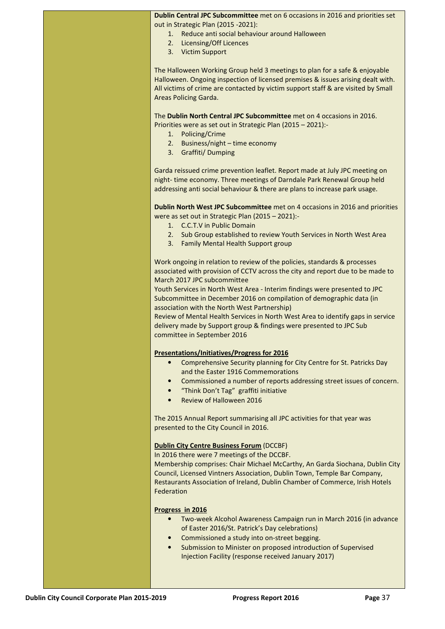| Dublin Central JPC Subcommittee met on 6 occasions in 2016 and priorities set |  |  |  |
|-------------------------------------------------------------------------------|--|--|--|
| out in Strategic Plan (2015 -2021):                                           |  |  |  |

- 1. Reduce anti social behaviour around Halloween
- 2. Licensing/Off Licences
- 3. Victim Support

The Halloween Working Group held 3 meetings to plan for a safe & enjoyable Halloween. Ongoing inspection of licensed premises & issues arising dealt with. All victims of crime are contacted by victim support staff & are visited by Small Areas Policing Garda.

The Dublin North Central JPC Subcommittee met on 4 occasions in 2016. Priorities were as set out in Strategic Plan (2015 – 2021):-

- 1. Policing/Crime
- 2. Business/night time economy
- 3. Graffiti/ Dumping

Garda reissued crime prevention leaflet. Report made at July JPC meeting on night- time economy. Three meetings of Darndale Park Renewal Group held addressing anti social behaviour & there are plans to increase park usage.

Dublin North West JPC Subcommittee met on 4 occasions in 2016 and priorities were as set out in Strategic Plan (2015 – 2021):-

- 1. C.C.T.V in Public Domain
- 2. Sub Group established to review Youth Services in North West Area
- 3. Family Mental Health Support group

Work ongoing in relation to review of the policies, standards & processes associated with provision of CCTV across the city and report due to be made to March 2017 JPC subcommittee

Youth Services in North West Area - Interim findings were presented to JPC Subcommittee in December 2016 on compilation of demographic data (in association with the North West Partnership)

Review of Mental Health Services in North West Area to identify gaps in service delivery made by Support group & findings were presented to JPC Sub committee in September 2016

#### Presentations/Initiatives/Progress for 2016

- Comprehensive Security planning for City Centre for St. Patricks Day and the Easter 1916 Commemorations
- Commissioned a number of reports addressing street issues of concern.
- "Think Don't Tag" graffiti initiative
- Review of Halloween 2016

The 2015 Annual Report summarising all JPC activities for that year was presented to the City Council in 2016.

#### Dublin City Centre Business Forum (DCCBF)

In 2016 there were 7 meetings of the DCCBF.

Membership comprises: Chair Michael McCarthy, An Garda Siochana, Dublin City Council, Licensed Vintners Association, Dublin Town, Temple Bar Company, Restaurants Association of Ireland, Dublin Chamber of Commerce, Irish Hotels Federation

#### Progress in 2016

- Two-week Alcohol Awareness Campaign run in March 2016 (in advance of Easter 2016/St. Patrick's Day celebrations)
- Commissioned a study into on-street begging.
- Submission to Minister on proposed introduction of Supervised Injection Facility (response received January 2017)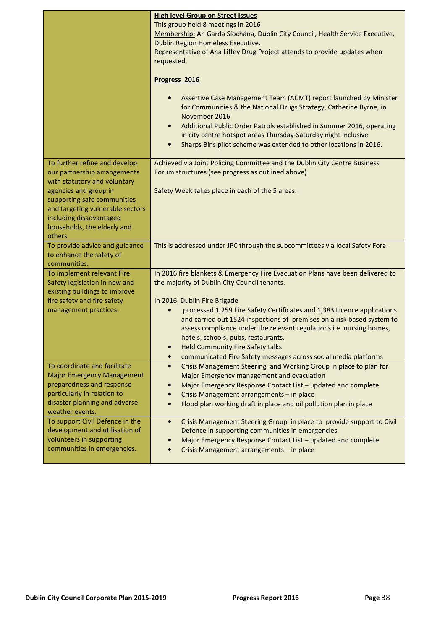|                                                                                                                                                                                                                                                               | <b>High level Group on Street Issues</b><br>This group held 8 meetings in 2016<br>Membership: An Garda Síochána, Dublin City Council, Health Service Executive,<br>Dublin Region Homeless Executive.<br>Representative of Ana Liffey Drug Project attends to provide updates when<br>requested.                                                                                                                                                                                                                                                                           |
|---------------------------------------------------------------------------------------------------------------------------------------------------------------------------------------------------------------------------------------------------------------|---------------------------------------------------------------------------------------------------------------------------------------------------------------------------------------------------------------------------------------------------------------------------------------------------------------------------------------------------------------------------------------------------------------------------------------------------------------------------------------------------------------------------------------------------------------------------|
|                                                                                                                                                                                                                                                               | Progress 2016<br>Assertive Case Management Team (ACMT) report launched by Minister<br>for Communities & the National Drugs Strategy, Catherine Byrne, in<br>November 2016<br>Additional Public Order Patrols established in Summer 2016, operating<br>$\bullet$<br>in city centre hotspot areas Thursday-Saturday night inclusive<br>Sharps Bins pilot scheme was extended to other locations in 2016.<br>$\bullet$                                                                                                                                                       |
| To further refine and develop<br>our partnership arrangements<br>with statutory and voluntary<br>agencies and group in<br>supporting safe communities<br>and targeting vulnerable sectors<br>including disadvantaged<br>households, the elderly and<br>others | Achieved via Joint Policing Committee and the Dublin City Centre Business<br>Forum structures (see progress as outlined above).<br>Safety Week takes place in each of the 5 areas.                                                                                                                                                                                                                                                                                                                                                                                        |
| To provide advice and guidance<br>to enhance the safety of<br>communities.                                                                                                                                                                                    | This is addressed under JPC through the subcommittees via local Safety Fora.                                                                                                                                                                                                                                                                                                                                                                                                                                                                                              |
| To implement relevant Fire<br>Safety legislation in new and<br>existing buildings to improve<br>fire safety and fire safety<br>management practices.                                                                                                          | In 2016 fire blankets & Emergency Fire Evacuation Plans have been delivered to<br>the majority of Dublin City Council tenants.<br>In 2016 Dublin Fire Brigade<br>processed 1,259 Fire Safety Certificates and 1,383 Licence applications<br>$\bullet$<br>and carried out 1524 inspections of premises on a risk based system to<br>assess compliance under the relevant regulations i.e. nursing homes,<br>hotels, schools, pubs, restaurants.<br><b>Held Community Fire Safety talks</b><br>communicated Fire Safety messages across social media platforms<br>$\bullet$ |
| To coordinate and facilitate<br><b>Major Emergency Management</b><br>preparedness and response<br>particularly in relation to<br>disaster planning and adverse<br>weather events.                                                                             | Crisis Management Steering and Working Group in place to plan for<br>$\bullet$<br>Major Emergency management and evacuation<br>Major Emergency Response Contact List - updated and complete<br>$\bullet$<br>Crisis Management arrangements - in place<br>$\bullet$<br>Flood plan working draft in place and oil pollution plan in place<br>$\bullet$                                                                                                                                                                                                                      |
| To support Civil Defence in the<br>development and utilisation of<br>volunteers in supporting<br>communities in emergencies.                                                                                                                                  | Crisis Management Steering Group in place to provide support to Civil<br>$\bullet$<br>Defence in supporting communities in emergencies<br>Major Emergency Response Contact List - updated and complete<br>$\bullet$<br>Crisis Management arrangements - in place                                                                                                                                                                                                                                                                                                          |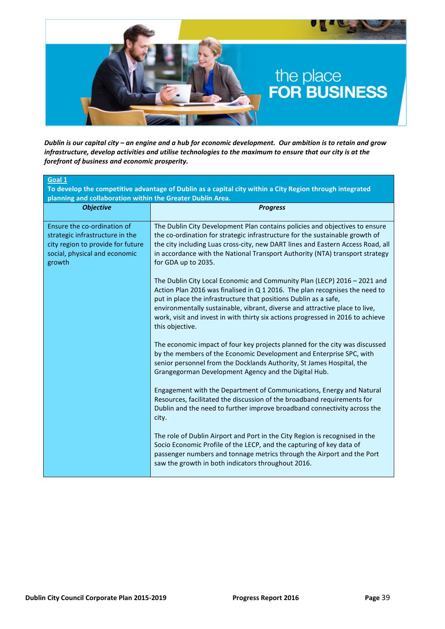

Dublin is our capital city – an engine and a hub for economic development. Our ambition is to retain and grow infrastructure, develop activities and utilise technologies to the maximum to ensure that our city is at the forefront of business and economic prosperity.

| Goal 1<br>To develop the competitive advantage of Dublin as a capital city within a City Region through integrated                             |                                                                                                                                                                                                                                                                                                                                                                                                                  |  |  |
|------------------------------------------------------------------------------------------------------------------------------------------------|------------------------------------------------------------------------------------------------------------------------------------------------------------------------------------------------------------------------------------------------------------------------------------------------------------------------------------------------------------------------------------------------------------------|--|--|
| planning and collaboration within the Greater Dublin Area.<br><b>Objective</b>                                                                 | <b>Progress</b>                                                                                                                                                                                                                                                                                                                                                                                                  |  |  |
| Ensure the co-ordination of<br>strategic infrastructure in the<br>city region to provide for future<br>social, physical and economic<br>growth | The Dublin City Development Plan contains policies and objectives to ensure<br>the co-ordination for strategic infrastructure for the sustainable growth of<br>the city including Luas cross-city, new DART lines and Eastern Access Road, all<br>in accordance with the National Transport Authority (NTA) transport strategy<br>for GDA up to 2035.                                                            |  |  |
|                                                                                                                                                | The Dublin City Local Economic and Community Plan (LECP) 2016 - 2021 and<br>Action Plan 2016 was finalised in Q 1 2016. The plan recognises the need to<br>put in place the infrastructure that positions Dublin as a safe,<br>environmentally sustainable, vibrant, diverse and attractive place to live,<br>work, visit and invest in with thirty six actions progressed in 2016 to achieve<br>this objective. |  |  |
|                                                                                                                                                | The economic impact of four key projects planned for the city was discussed<br>by the members of the Economic Development and Enterprise SPC, with<br>senior personnel from the Docklands Authority, St James Hospital, the<br>Grangegorman Development Agency and the Digital Hub.                                                                                                                              |  |  |
|                                                                                                                                                | Engagement with the Department of Communications, Energy and Natural<br>Resources, facilitated the discussion of the broadband requirements for<br>Dublin and the need to further improve broadband connectivity across the<br>city.                                                                                                                                                                             |  |  |
|                                                                                                                                                | The role of Dublin Airport and Port in the City Region is recognised in the<br>Socio Economic Profile of the LECP, and the capturing of key data of<br>passenger numbers and tonnage metrics through the Airport and the Port<br>saw the growth in both indicators throughout 2016.                                                                                                                              |  |  |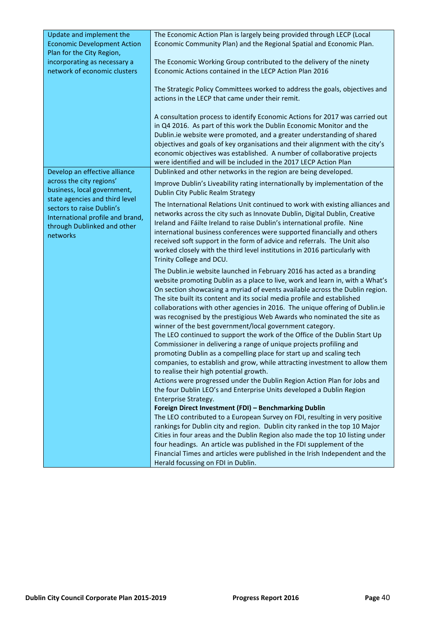| Update and implement the           | The Economic Action Plan is largely being provided through LECP (Local                                                                           |
|------------------------------------|--------------------------------------------------------------------------------------------------------------------------------------------------|
| <b>Economic Development Action</b> | Economic Community Plan) and the Regional Spatial and Economic Plan.                                                                             |
| Plan for the City Region,          |                                                                                                                                                  |
| incorporating as necessary a       | The Economic Working Group contributed to the delivery of the ninety                                                                             |
| network of economic clusters       | Economic Actions contained in the LECP Action Plan 2016                                                                                          |
|                                    |                                                                                                                                                  |
|                                    | The Strategic Policy Committees worked to address the goals, objectives and                                                                      |
|                                    | actions in the LECP that came under their remit.                                                                                                 |
|                                    |                                                                                                                                                  |
|                                    | A consultation process to identify Economic Actions for 2017 was carried out                                                                     |
|                                    | in Q4 2016. As part of this work the Dublin Economic Monitor and the                                                                             |
|                                    | Dublin.ie website were promoted, and a greater understanding of shared                                                                           |
|                                    | objectives and goals of key organisations and their alignment with the city's                                                                    |
|                                    | economic objectives was established. A number of collaborative projects                                                                          |
|                                    | were identified and will be included in the 2017 LECP Action Plan                                                                                |
| Develop an effective alliance      | Dublinked and other networks in the region are being developed.                                                                                  |
| across the city regions'           | Improve Dublin's Liveability rating internationally by implementation of the                                                                     |
| business, local government,        | <b>Dublin City Public Realm Strategy</b>                                                                                                         |
| state agencies and third level     |                                                                                                                                                  |
| sectors to raise Dublin's          | The International Relations Unit continued to work with existing alliances and                                                                   |
| International profile and brand,   | networks across the city such as Innovate Dublin, Digital Dublin, Creative                                                                       |
| through Dublinked and other        | Ireland and Fáilte Ireland to raise Dublin's international profile. Nine                                                                         |
| networks                           | international business conferences were supported financially and others                                                                         |
|                                    | received soft support in the form of advice and referrals. The Unit also                                                                         |
|                                    | worked closely with the third level institutions in 2016 particularly with                                                                       |
|                                    | Trinity College and DCU.                                                                                                                         |
|                                    | The Dublin.ie website launched in February 2016 has acted as a branding                                                                          |
|                                    | website promoting Dublin as a place to live, work and learn in, with a What's                                                                    |
|                                    | On section showcasing a myriad of events available across the Dublin region.                                                                     |
|                                    | The site built its content and its social media profile and established                                                                          |
|                                    | collaborations with other agencies in 2016. The unique offering of Dublin.ie                                                                     |
|                                    | was recognised by the prestigious Web Awards who nominated the site as                                                                           |
|                                    | winner of the best government/local government category.                                                                                         |
|                                    | The LEO continued to support the work of the Office of the Dublin Start Up                                                                       |
|                                    | Commissioner in delivering a range of unique projects profiling and                                                                              |
|                                    | promoting Dublin as a compelling place for start up and scaling tech                                                                             |
|                                    | companies, to establish and grow, while attracting investment to allow them                                                                      |
|                                    | to realise their high potential growth.                                                                                                          |
|                                    | Actions were progressed under the Dublin Region Action Plan for Jobs and<br>the four Dublin LEO's and Enterprise Units developed a Dublin Region |
|                                    | <b>Enterprise Strategy.</b>                                                                                                                      |
|                                    | Foreign Direct Investment (FDI) - Benchmarking Dublin                                                                                            |
|                                    | The LEO contributed to a European Survey on FDI, resulting in very positive                                                                      |
|                                    | rankings for Dublin city and region. Dublin city ranked in the top 10 Major                                                                      |
|                                    | Cities in four areas and the Dublin Region also made the top 10 listing under                                                                    |
|                                    | four headings. An article was published in the FDI supplement of the                                                                             |
|                                    | Financial Times and articles were published in the Irish Independent and the                                                                     |
|                                    | Herald focussing on FDI in Dublin.                                                                                                               |
|                                    |                                                                                                                                                  |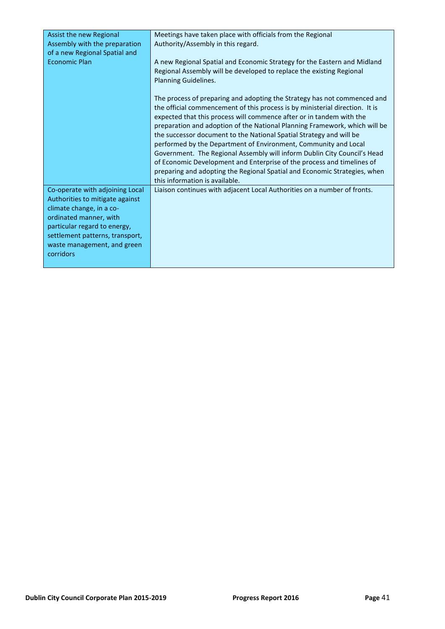| Assist the new Regional<br>Assembly with the preparation<br>of a new Regional Spatial and                                                                                                                                               | Meetings have taken place with officials from the Regional<br>Authority/Assembly in this regard.                                                                                                                                                                                                                                                                                                                                                                                                                                                                                                                                                                                                                              |
|-----------------------------------------------------------------------------------------------------------------------------------------------------------------------------------------------------------------------------------------|-------------------------------------------------------------------------------------------------------------------------------------------------------------------------------------------------------------------------------------------------------------------------------------------------------------------------------------------------------------------------------------------------------------------------------------------------------------------------------------------------------------------------------------------------------------------------------------------------------------------------------------------------------------------------------------------------------------------------------|
| <b>Economic Plan</b>                                                                                                                                                                                                                    | A new Regional Spatial and Economic Strategy for the Eastern and Midland<br>Regional Assembly will be developed to replace the existing Regional<br>Planning Guidelines.                                                                                                                                                                                                                                                                                                                                                                                                                                                                                                                                                      |
|                                                                                                                                                                                                                                         | The process of preparing and adopting the Strategy has not commenced and<br>the official commencement of this process is by ministerial direction. It is<br>expected that this process will commence after or in tandem with the<br>preparation and adoption of the National Planning Framework, which will be<br>the successor document to the National Spatial Strategy and will be<br>performed by the Department of Environment, Community and Local<br>Government. The Regional Assembly will inform Dublin City Council's Head<br>of Economic Development and Enterprise of the process and timelines of<br>preparing and adopting the Regional Spatial and Economic Strategies, when<br>this information is available. |
| Co-operate with adjoining Local<br>Authorities to mitigate against<br>climate change, in a co-<br>ordinated manner, with<br>particular regard to energy,<br>settlement patterns, transport,<br>waste management, and green<br>corridors | Liaison continues with adjacent Local Authorities on a number of fronts.                                                                                                                                                                                                                                                                                                                                                                                                                                                                                                                                                                                                                                                      |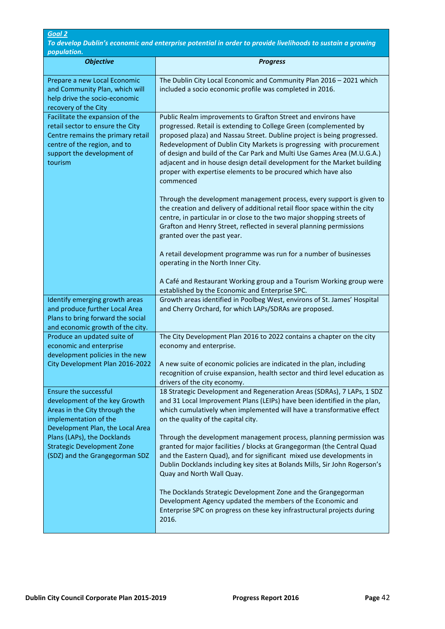To develop Dublin's economic and enterprise potential in order to provide livelihoods to sustain a growing population.

| population.<br><b>Objective</b>                                                                                                                                                   | <b>Progress</b>                                                                                                                                                                                                                                                                                                                                                                                                                                                                                                           |
|-----------------------------------------------------------------------------------------------------------------------------------------------------------------------------------|---------------------------------------------------------------------------------------------------------------------------------------------------------------------------------------------------------------------------------------------------------------------------------------------------------------------------------------------------------------------------------------------------------------------------------------------------------------------------------------------------------------------------|
| Prepare a new Local Economic<br>and Community Plan, which will<br>help drive the socio-economic<br>recovery of the City                                                           | The Dublin City Local Economic and Community Plan 2016 - 2021 which<br>included a socio economic profile was completed in 2016.                                                                                                                                                                                                                                                                                                                                                                                           |
| Facilitate the expansion of the<br>retail sector to ensure the City<br>Centre remains the primary retail<br>centre of the region, and to<br>support the development of<br>tourism | Public Realm improvements to Grafton Street and environs have<br>progressed. Retail is extending to College Green (complemented by<br>proposed plaza) and Nassau Street. Dubline project is being progressed.<br>Redevelopment of Dublin City Markets is progressing with procurement<br>of design and build of the Car Park and Multi Use Games Area (M.U.G.A.)<br>adjacent and in house design detail development for the Market building<br>proper with expertise elements to be procured which have also<br>commenced |
|                                                                                                                                                                                   | Through the development management process, every support is given to<br>the creation and delivery of additional retail floor space within the city<br>centre, in particular in or close to the two major shopping streets of<br>Grafton and Henry Street, reflected in several planning permissions<br>granted over the past year.                                                                                                                                                                                       |
|                                                                                                                                                                                   | A retail development programme was run for a number of businesses<br>operating in the North Inner City.                                                                                                                                                                                                                                                                                                                                                                                                                   |
|                                                                                                                                                                                   | A Café and Restaurant Working group and a Tourism Working group were<br>established by the Economic and Enterprise SPC.                                                                                                                                                                                                                                                                                                                                                                                                   |
| Identify emerging growth areas<br>and produce further Local Area<br>Plans to bring forward the social<br>and economic growth of the city.                                         | Growth areas identified in Poolbeg West, environs of St. James' Hospital<br>and Cherry Orchard, for which LAPs/SDRAs are proposed.                                                                                                                                                                                                                                                                                                                                                                                        |
| Produce an updated suite of<br>economic and enterprise<br>development policies in the new                                                                                         | The City Development Plan 2016 to 2022 contains a chapter on the city<br>economy and enterprise.                                                                                                                                                                                                                                                                                                                                                                                                                          |
| City Development Plan 2016-2022                                                                                                                                                   | A new suite of economic policies are indicated in the plan, including<br>recognition of cruise expansion, health sector and third level education as<br>drivers of the city economy.                                                                                                                                                                                                                                                                                                                                      |
| <b>Ensure the successful</b><br>development of the key Growth<br>Areas in the City through the<br>implementation of the<br>Development Plan, the Local Area                       | 18 Strategic Development and Regeneration Areas (SDRAs), 7 LAPs, 1 SDZ<br>and 31 Local Improvement Plans (LEIPs) have been identified in the plan,<br>which cumulatively when implemented will have a transformative effect<br>on the quality of the capital city.                                                                                                                                                                                                                                                        |
| Plans (LAPs), the Docklands<br><b>Strategic Development Zone</b><br>(SDZ) and the Grangegorman SDZ                                                                                | Through the development management process, planning permission was<br>granted for major facilities / blocks at Grangegorman (the Central Quad<br>and the Eastern Quad), and for significant mixed use developments in<br>Dublin Docklands including key sites at Bolands Mills, Sir John Rogerson's<br>Quay and North Wall Quay.                                                                                                                                                                                         |
|                                                                                                                                                                                   | The Docklands Strategic Development Zone and the Grangegorman<br>Development Agency updated the members of the Economic and<br>Enterprise SPC on progress on these key infrastructural projects during<br>2016.                                                                                                                                                                                                                                                                                                           |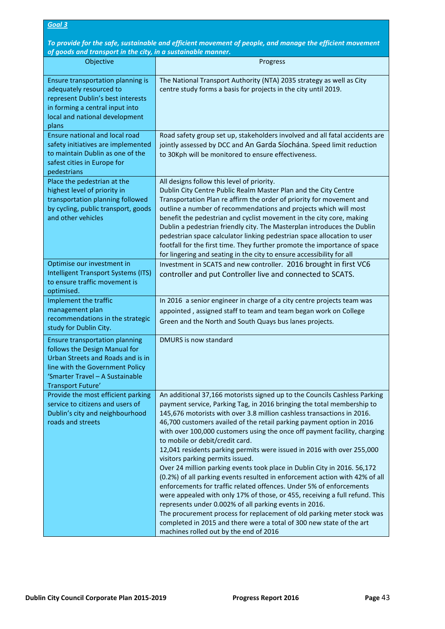To provide for the safe, sustainable and efficient movement of people, and manage the efficient movement of goods and transport in the city, in a sustainable manner.

| Objective                                                                                                                                                                                       | Progress                                                                                                                                                                                                                                                                                                                                                                                                                                                                                                                                                                                                                                                                                                                                                                                                                                                                                                                                                                                                                                                                                                    |
|-------------------------------------------------------------------------------------------------------------------------------------------------------------------------------------------------|-------------------------------------------------------------------------------------------------------------------------------------------------------------------------------------------------------------------------------------------------------------------------------------------------------------------------------------------------------------------------------------------------------------------------------------------------------------------------------------------------------------------------------------------------------------------------------------------------------------------------------------------------------------------------------------------------------------------------------------------------------------------------------------------------------------------------------------------------------------------------------------------------------------------------------------------------------------------------------------------------------------------------------------------------------------------------------------------------------------|
| Ensure transportation planning is<br>adequately resourced to<br>represent Dublin's best interests<br>in forming a central input into<br>local and national development<br>plans                 | The National Transport Authority (NTA) 2035 strategy as well as City<br>centre study forms a basis for projects in the city until 2019.                                                                                                                                                                                                                                                                                                                                                                                                                                                                                                                                                                                                                                                                                                                                                                                                                                                                                                                                                                     |
| <b>Ensure national and local road</b><br>safety initiatives are implemented<br>to maintain Dublin as one of the<br>safest cities in Europe for<br>pedestrians                                   | Road safety group set up, stakeholders involved and all fatal accidents are<br>jointly assessed by DCC and An Garda Síochána. Speed limit reduction<br>to 30Kph will be monitored to ensure effectiveness.                                                                                                                                                                                                                                                                                                                                                                                                                                                                                                                                                                                                                                                                                                                                                                                                                                                                                                  |
| Place the pedestrian at the<br>highest level of priority in<br>transportation planning followed<br>by cycling, public transport, goods<br>and other vehicles                                    | All designs follow this level of priority.<br>Dublin City Centre Public Realm Master Plan and the City Centre<br>Transportation Plan re affirm the order of priority for movement and<br>outline a number of recommendations and projects which will most<br>benefit the pedestrian and cyclist movement in the city core, making<br>Dublin a pedestrian friendly city. The Masterplan introduces the Dublin<br>pedestrian space calculator linking pedestrian space allocation to user<br>footfall for the first time. They further promote the importance of space<br>for lingering and seating in the city to ensure accessibility for all                                                                                                                                                                                                                                                                                                                                                                                                                                                               |
| Optimise our investment in<br>Intelligent Transport Systems (ITS)<br>to ensure traffic movement is<br>optimised.                                                                                | Investment in SCATS and new controller. 2016 brought in first VC6<br>controller and put Controller live and connected to SCATS.                                                                                                                                                                                                                                                                                                                                                                                                                                                                                                                                                                                                                                                                                                                                                                                                                                                                                                                                                                             |
| Implement the traffic<br>management plan<br>recommendations in the strategic<br>study for Dublin City.                                                                                          | In 2016 a senior engineer in charge of a city centre projects team was<br>appointed, assigned staff to team and team began work on College<br>Green and the North and South Quays bus lanes projects.                                                                                                                                                                                                                                                                                                                                                                                                                                                                                                                                                                                                                                                                                                                                                                                                                                                                                                       |
| Ensure transportation planning<br>follows the Design Manual for<br>Urban Streets and Roads and is in<br>line with the Government Policy<br>'Smarter Travel – A Sustainable<br>Transport Future' | DMURS is now standard                                                                                                                                                                                                                                                                                                                                                                                                                                                                                                                                                                                                                                                                                                                                                                                                                                                                                                                                                                                                                                                                                       |
| Provide the most efficient parking<br>service to citizens and users of<br>Dublin's city and neighbourhood<br>roads and streets                                                                  | An additional 37,166 motorists signed up to the Councils Cashless Parking<br>payment service, Parking Tag, in 2016 bringing the total membership to<br>145,676 motorists with over 3.8 million cashless transactions in 2016.<br>46,700 customers availed of the retail parking payment option in 2016<br>with over 100,000 customers using the once off payment facility, charging<br>to mobile or debit/credit card.<br>12,041 residents parking permits were issued in 2016 with over 255,000<br>visitors parking permits issued.<br>Over 24 million parking events took place in Dublin City in 2016. 56,172<br>(0.2%) of all parking events resulted in enforcement action with 42% of all<br>enforcements for traffic related offences. Under 5% of enforcements<br>were appealed with only 17% of those, or 455, receiving a full refund. This<br>represents under 0.002% of all parking events in 2016.<br>The procurement process for replacement of old parking meter stock was<br>completed in 2015 and there were a total of 300 new state of the art<br>machines rolled out by the end of 2016 |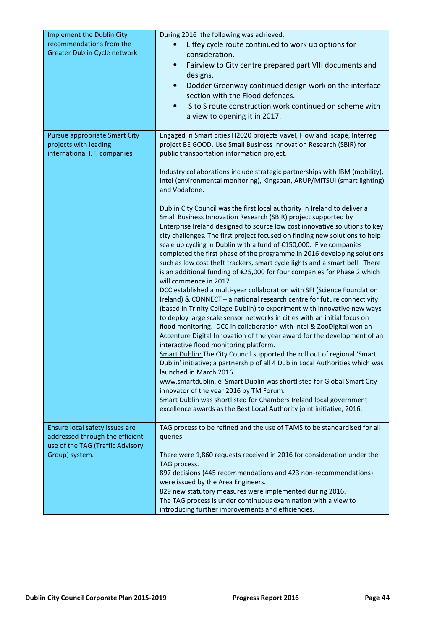| Implement the Dublin City<br>recommendations from the<br>Greater Dublin Cycle network                                   | During 2016 the following was achieved:<br>Liffey cycle route continued to work up options for<br>consideration.<br>Fairview to City centre prepared part VIII documents and<br>$\bullet$<br>designs.<br>Dodder Greenway continued design work on the interface<br>$\bullet$<br>section with the Flood defences.<br>S to S route construction work continued on scheme with<br>$\bullet$<br>a view to opening it in 2017.                                                                                                                                                                                                                                                                                                                                                                                                                                                                                                                                                                                                                                                                                                                                                                                                                                                                                                                                                                                                                                                                                                                                                                                              |
|-------------------------------------------------------------------------------------------------------------------------|------------------------------------------------------------------------------------------------------------------------------------------------------------------------------------------------------------------------------------------------------------------------------------------------------------------------------------------------------------------------------------------------------------------------------------------------------------------------------------------------------------------------------------------------------------------------------------------------------------------------------------------------------------------------------------------------------------------------------------------------------------------------------------------------------------------------------------------------------------------------------------------------------------------------------------------------------------------------------------------------------------------------------------------------------------------------------------------------------------------------------------------------------------------------------------------------------------------------------------------------------------------------------------------------------------------------------------------------------------------------------------------------------------------------------------------------------------------------------------------------------------------------------------------------------------------------------------------------------------------------|
| <b>Pursue appropriate Smart City</b><br>projects with leading<br>international I.T. companies                           | Engaged in Smart cities H2020 projects Vavel, Flow and Iscape, Interreg<br>project BE GOOD. Use Small Business Innovation Research (SBIR) for<br>public transportation information project.<br>Industry collaborations include strategic partnerships with IBM (mobility),<br>Intel (environmental monitoring), Kingspan, ARUP/MITSUI (smart lighting)<br>and Vodafone.                                                                                                                                                                                                                                                                                                                                                                                                                                                                                                                                                                                                                                                                                                                                                                                                                                                                                                                                                                                                                                                                                                                                                                                                                                                |
|                                                                                                                         | Dublin City Council was the first local authority in Ireland to deliver a<br>Small Business Innovation Research (SBIR) project supported by<br>Enterprise Ireland designed to source low cost innovative solutions to key<br>city challenges. The first project focused on finding new solutions to help<br>scale up cycling in Dublin with a fund of €150,000. Five companies<br>completed the first phase of the programme in 2016 developing solutions<br>such as low cost theft trackers, smart cycle lights and a smart bell. There<br>is an additional funding of €25,000 for four companies for Phase 2 which<br>will commence in 2017.<br>DCC established a multi-year collaboration with SFI (Science Foundation<br>Ireland) & CONNECT - a national research centre for future connectivity<br>(based in Trinity College Dublin) to experiment with innovative new ways<br>to deploy large scale sensor networks in cities with an initial focus on<br>flood monitoring. DCC in collaboration with Intel & ZooDigital won an<br>Accenture Digital Innovation of the year award for the development of an<br>interactive flood monitoring platform.<br>Smart Dublin: The City Council supported the roll out of regional 'Smart<br>Dublin' initiative; a partnership of all 4 Dublin Local Authorities which was<br>launched in March 2016.<br>www.smartdublin.ie Smart Dublin was shortlisted for Global Smart City<br>innovator of the year 2016 by TM Forum.<br>Smart Dublin was shortlisted for Chambers Ireland local government<br>excellence awards as the Best Local Authority joint initiative, 2016. |
| Ensure local safety issues are<br>addressed through the efficient<br>use of the TAG (Traffic Advisory<br>Group) system. | TAG process to be refined and the use of TAMS to be standardised for all<br>queries.<br>There were 1,860 requests received in 2016 for consideration under the<br>TAG process.<br>897 decisions (445 recommendations and 423 non-recommendations)<br>were issued by the Area Engineers.<br>829 new statutory measures were implemented during 2016.<br>The TAG process is under continuous examination with a view to<br>introducing further improvements and efficiencies.                                                                                                                                                                                                                                                                                                                                                                                                                                                                                                                                                                                                                                                                                                                                                                                                                                                                                                                                                                                                                                                                                                                                            |